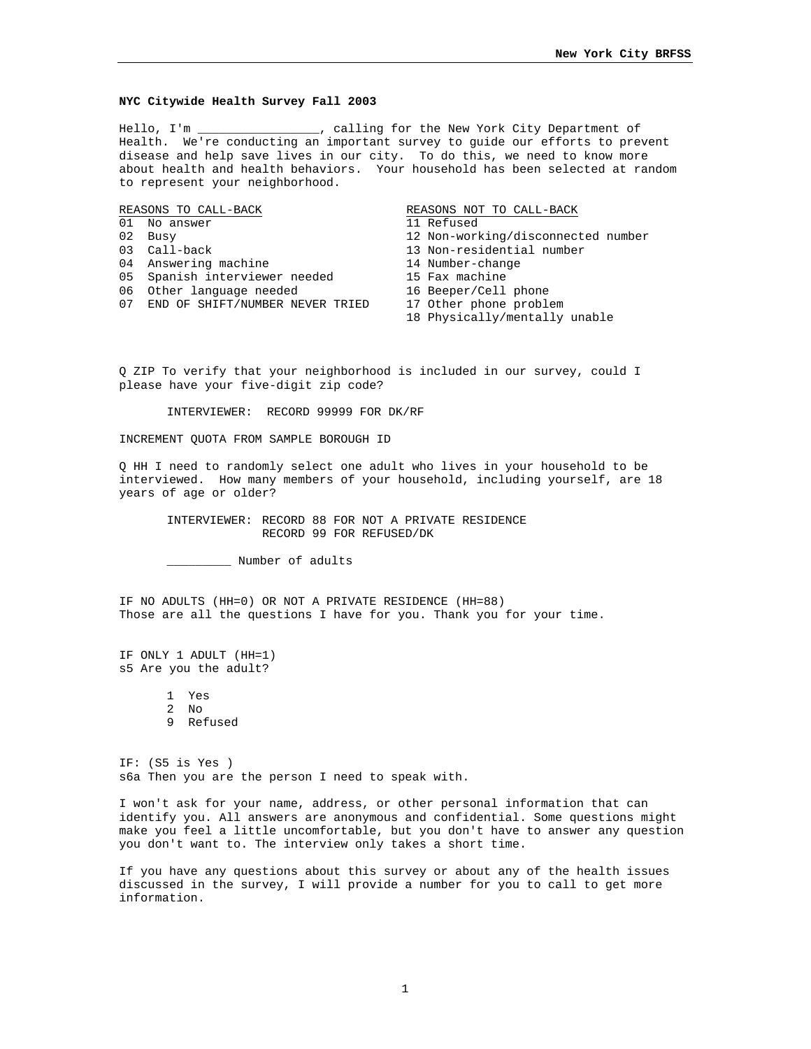#### **NYC Citywide Health Survey Fall 2003**

Hello, I'm \_\_\_\_\_\_\_\_\_\_\_\_\_\_\_\_\_, calling for the New York City Department of Health. We're conducting an important survey to guide our efforts to prevent disease and help save lives in our city. To do this, we need to know more about health and health behaviors. Your household has been selected at random to represent your neighborhood.

REASONS TO CALL-BACK REASONS NOT TO CALL-BACK

- 01 No answer 11 Refused 12 Non-worldwide 12 Non-worldwide 12 Non-worldwide 12 Non-worldwide 12 Non-worldwide 1
- 
- 
- 
- 04 Answering machine 14 Number-changer<br>05 Spanish interviewer needed 15 Fax machine 05 Spanish interviewer needed 15 Fax machine<br>06 Other language needed 16 Beeper/Cell phone
- 06 Other language needed
- 07 END OF SHIFT/NUMBER NEVER TRIED 17 Other phone problem

- 
- 02 Busy 12 Non-working/disconnected number<br>03 Call-back 13 Non-residential number
	- 13 Non-residential number<br>14 Number-change
	-
	-
	-
	-
	- 18 Physically/mentally unable

Q ZIP To verify that your neighborhood is included in our survey, could I please have your five-digit zip code?

INTERVIEWER: RECORD 99999 FOR DK/RF

INCREMENT QUOTA FROM SAMPLE BOROUGH ID

Q HH I need to randomly select one adult who lives in your household to be interviewed. How many members of your household, including yourself, are 18 years of age or older?

INTERVIEWER: RECORD 88 FOR NOT A PRIVATE RESIDENCE RECORD 99 FOR REFUSED/DK

\_\_\_\_\_\_\_\_\_ Number of adults

IF NO ADULTS (HH=0) OR NOT A PRIVATE RESIDENCE (HH=88) Those are all the questions I have for you. Thank you for your time.

IF ONLY 1 ADULT (HH=1) s5 Are you the adult?

> 1 Yes 2 No 9 Refused

IF: (S5 is Yes ) s6a Then you are the person I need to speak with.

I won't ask for your name, address, or other personal information that can identify you. All answers are anonymous and confidential. Some questions might make you feel a little uncomfortable, but you don't have to answer any question you don't want to. The interview only takes a short time.

If you have any questions about this survey or about any of the health issues discussed in the survey, I will provide a number for you to call to get more information.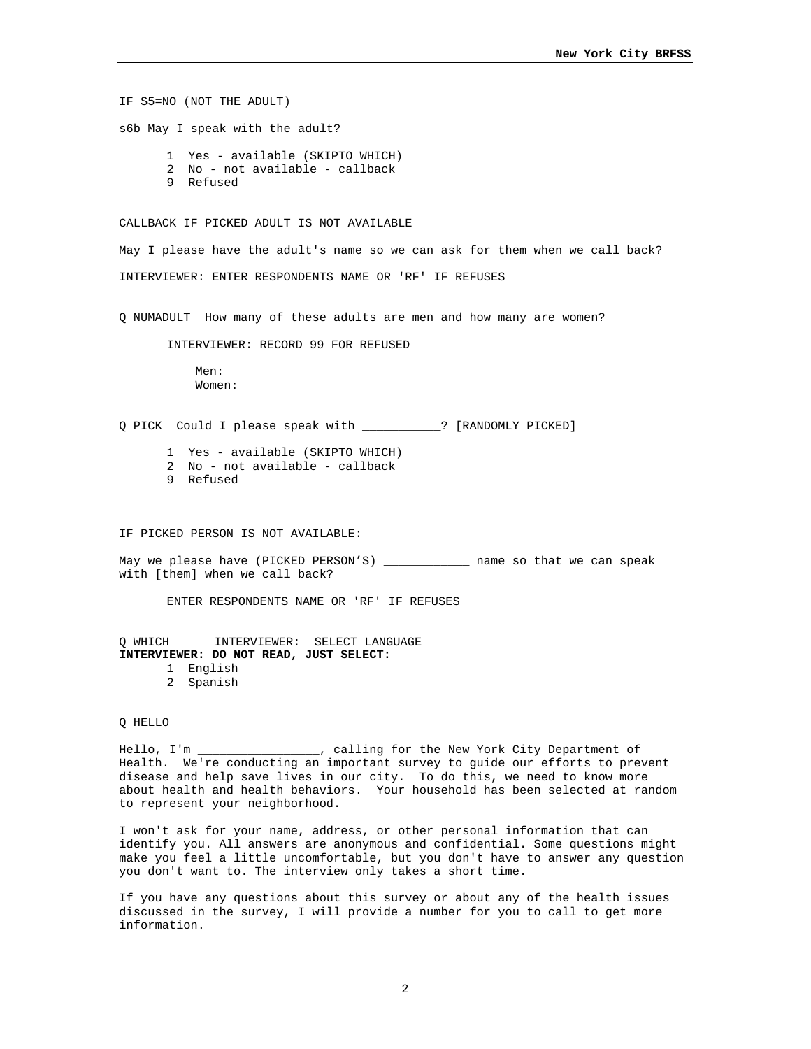IF S5=NO (NOT THE ADULT) s6b May I speak with the adult? 1 Yes - available (SKIPTO WHICH) 2 No - not available - callback 9 Refused CALLBACK IF PICKED ADULT IS NOT AVAILABLE May I please have the adult's name so we can ask for them when we call back? INTERVIEWER: ENTER RESPONDENTS NAME OR 'RF' IF REFUSES Q NUMADULT How many of these adults are men and how many are women? INTERVIEWER: RECORD 99 FOR REFUSED \_\_\_ Men: \_\_\_ Women: Q PICK Could I please speak with \_\_\_\_\_\_\_\_\_\_\_? [RANDOMLY PICKED] 1 Yes - available (SKIPTO WHICH) 2 No - not available - callback 9 Refused IF PICKED PERSON IS NOT AVAILABLE: May we please have (PICKED PERSON'S) \_\_\_\_\_\_\_\_\_\_\_\_\_\_ name so that we can speak with [them] when we call back? ENTER RESPONDENTS NAME OR 'RF' IF REFUSES Q WHICH INTERVIEWER: SELECT LANGUAGE **INTERVIEWER: DO NOT READ, JUST SELECT:** 1 English 2 Spanish Q HELLO

Hello, I'm \_\_\_\_\_\_\_\_\_\_\_\_\_\_\_\_, calling for the New York City Department of Health. We're conducting an important survey to guide our efforts to prevent disease and help save lives in our city. To do this, we need to know more about health and health behaviors. Your household has been selected at random to represent your neighborhood.

I won't ask for your name, address, or other personal information that can identify you. All answers are anonymous and confidential. Some questions might make you feel a little uncomfortable, but you don't have to answer any question you don't want to. The interview only takes a short time.

If you have any questions about this survey or about any of the health issues discussed in the survey, I will provide a number for you to call to get more information.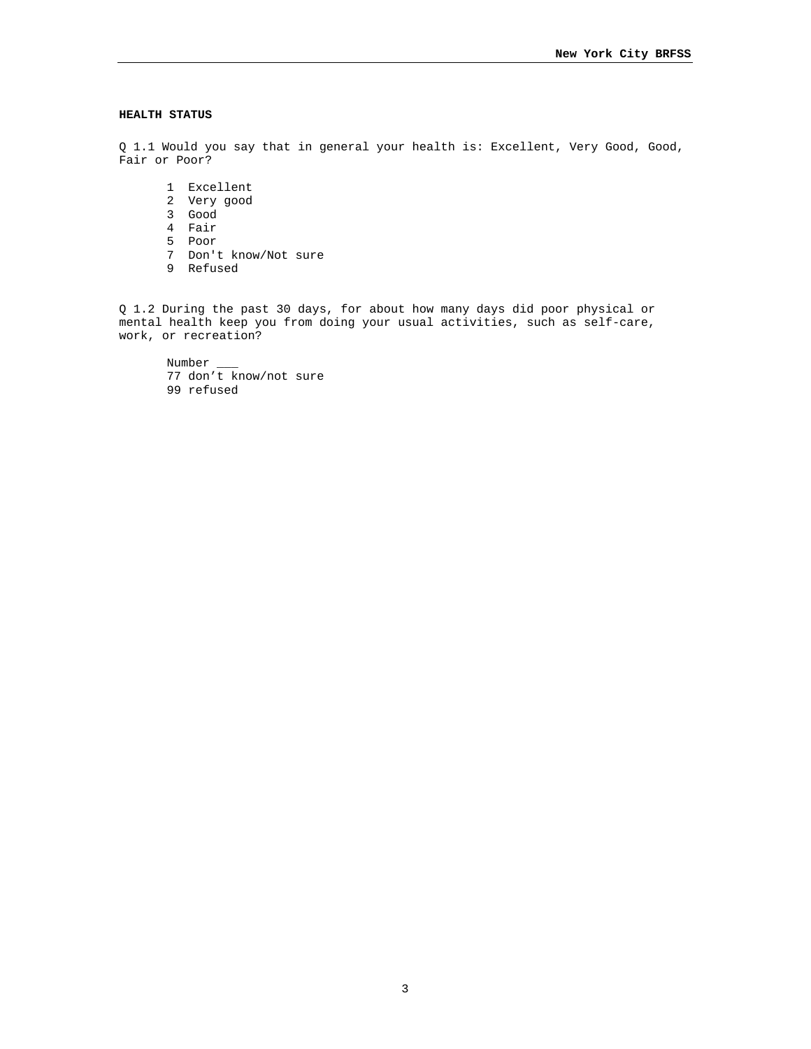### **HEALTH STATUS**

Q 1.1 Would you say that in general your health is: Excellent, Very Good, Good, Fair or Poor?

- 1 Excellent
- 2 Very good
- 3 Good
- 4 Fair
- 5 Poor
- 7 Don't know/Not sure
- 9 Refused

Q 1.2 During the past 30 days, for about how many days did poor physical or mental health keep you from doing your usual activities, such as self-care, work, or recreation?

Number \_\_\_ 77 don't know/not sure 99 refused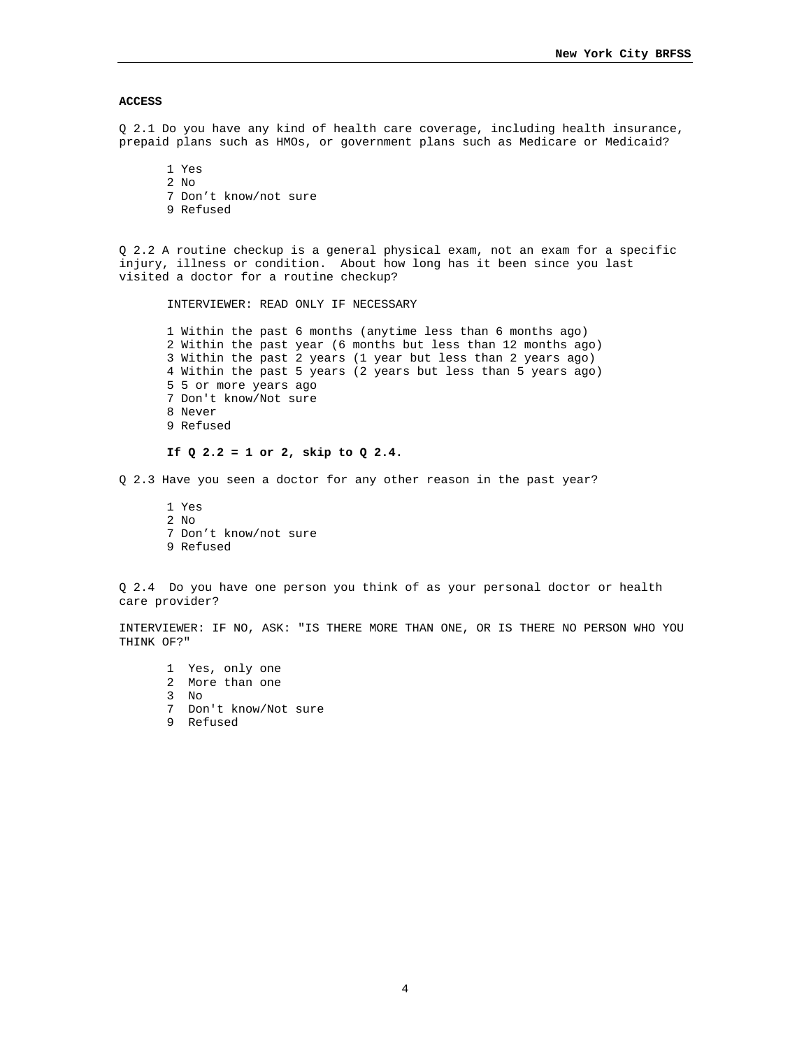### **ACCESS**

Q 2.1 Do you have any kind of health care coverage, including health insurance, prepaid plans such as HMOs, or government plans such as Medicare or Medicaid?

1 Yes 2 No 7 Don't know/not sure 9 Refused

Q 2.2 A routine checkup is a general physical exam, not an exam for a specific injury, illness or condition. About how long has it been since you last visited a doctor for a routine checkup?

INTERVIEWER: READ ONLY IF NECESSARY

1 Within the past 6 months (anytime less than 6 months ago) 2 Within the past year (6 months but less than 12 months ago) 3 Within the past 2 years (1 year but less than 2 years ago) 4 Within the past 5 years (2 years but less than 5 years ago) 5 5 or more years ago 7 Don't know/Not sure 8 Never 9 Refused

# **If Q 2.2 = 1 or 2, skip to Q 2.4.**

Q 2.3 Have you seen a doctor for any other reason in the past year?

1 Yes 2 No 7 Don't know/not sure 9 Refused

Q 2.4 Do you have one person you think of as your personal doctor or health care provider?

INTERVIEWER: IF NO, ASK: "IS THERE MORE THAN ONE, OR IS THERE NO PERSON WHO YOU THINK OF?"

1 Yes, only one 2 More than one 3 No 7 Don't know/Not sure 9 Refused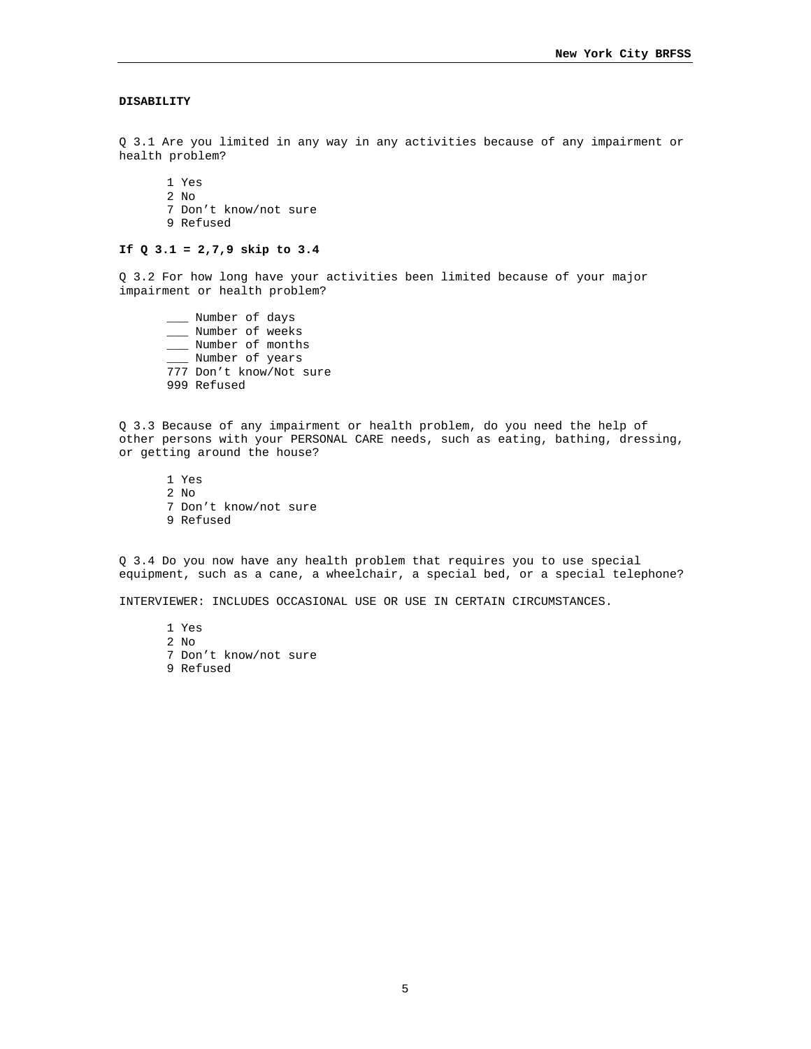# **DISABILITY**

Q 3.1 Are you limited in any way in any activities because of any impairment or health problem?

1 Yes 2 No 7 Don't know/not sure 9 Refused

# **If Q 3.1 = 2,7,9 skip to 3.4**

Q 3.2 For how long have your activities been limited because of your major impairment or health problem?

\_\_\_ Number of days \_\_\_ Number of weeks \_\_\_ Number of months \_\_\_ Number of years 777 Don't know/Not sure 999 Refused

Q 3.3 Because of any impairment or health problem, do you need the help of other persons with your PERSONAL CARE needs, such as eating, bathing, dressing, or getting around the house?

1 Yes 2 No 7 Don't know/not sure 9 Refused

Q 3.4 Do you now have any health problem that requires you to use special equipment, such as a cane, a wheelchair, a special bed, or a special telephone?

INTERVIEWER: INCLUDES OCCASIONAL USE OR USE IN CERTAIN CIRCUMSTANCES.

1 Yes 2 No 7 Don't know/not sure 9 Refused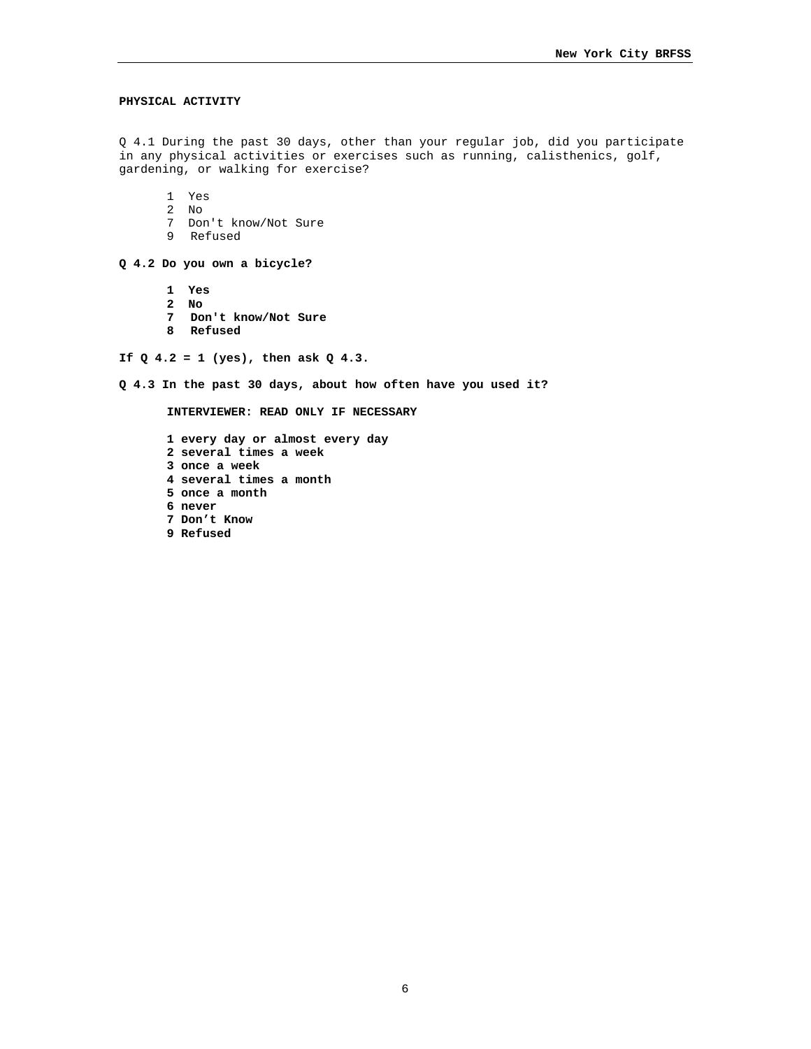### **PHYSICAL ACTIVITY**

Q 4.1 During the past 30 days, other than your regular job, did you participate in any physical activities or exercises such as running, calisthenics, golf, gardening, or walking for exercise?

1 Yes

- 2 No
- 7 Don't know/Not Sure
- 9 Refused

**Q 4.2 Do you own a bicycle?** 

- **1 Yes**
- **2 No**
- **7 Don't know/Not Sure**
- **8 Refused**

**If Q 4.2 = 1 (yes), then ask Q 4.3.** 

**Q 4.3 In the past 30 days, about how often have you used it?** 

**INTERVIEWER: READ ONLY IF NECESSARY** 

**1 every day or almost every day 2 several times a week 3 once a week 4 several times a month 5 once a month 6 never 7 Don't Know 9 Refused**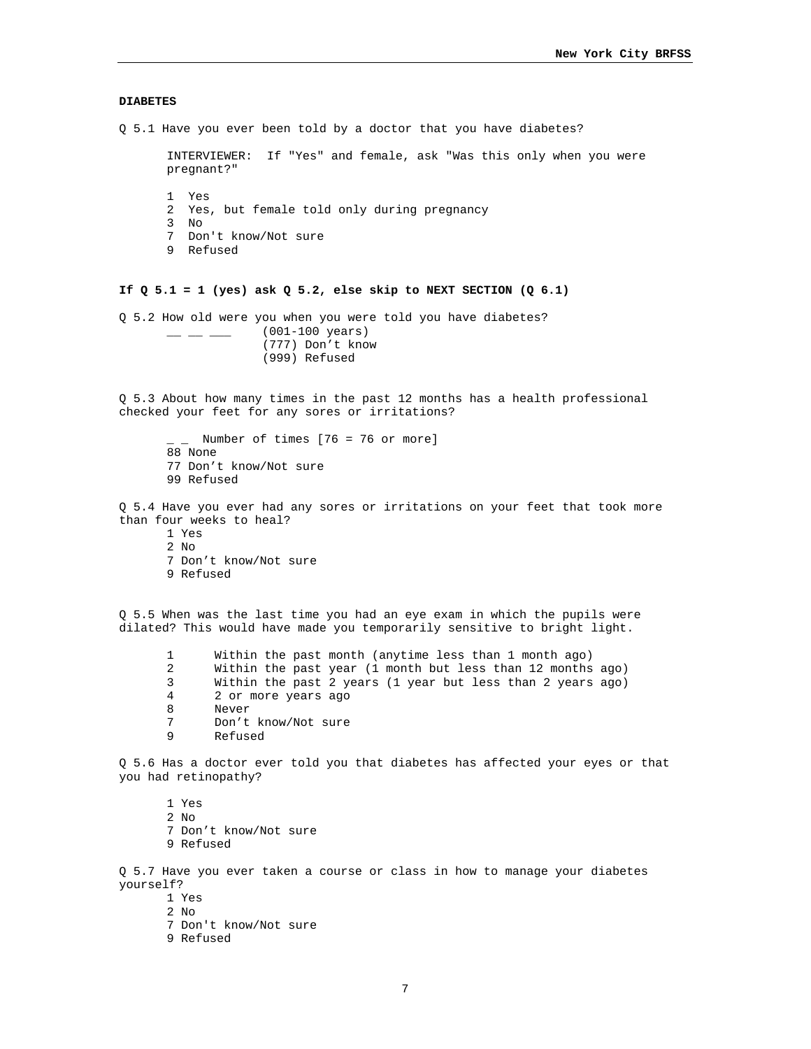### **DIABETES**

Q 5.1 Have you ever been told by a doctor that you have diabetes?

INTERVIEWER: If "Yes" and female, ask "Was this only when you were pregnant?" 1 Yes 2 Yes, but female told only during pregnancy 3 No 7 Don't know/Not sure 9 Refused

# **If Q 5.1 = 1 (yes) ask Q 5.2, else skip to NEXT SECTION (Q 6.1)**

Q 5.2 How old were you when you were told you have diabetes?  $\frac{1}{2}$  \_  $\frac{1}{2}$  (001-100 years) (777) Don't know (999) Refused

Q 5.3 About how many times in the past 12 months has a health professional checked your feet for any sores or irritations?

```
\lceil Number of times [76 = 76 or more]
88 None 
77 Don't know/Not sure 
99 Refused
```
Q 5.4 Have you ever had any sores or irritations on your feet that took more than four weeks to heal?

1 Yes 2 No 7 Don't know/Not sure 9 Refused

Q 5.5 When was the last time you had an eye exam in which the pupils were dilated? This would have made you temporarily sensitive to bright light.

- 1 Within the past month (anytime less than 1 month ago)
- 2 Within the past year (1 month but less than 12 months ago)
- 3 Within the past 2 years (1 year but less than 2 years ago)
- 4 2 or more years ago
- 8 Never<br>7 Don't
- 7 Don't know/Not sure<br>9 Refused
- 9 Refused

Q 5.6 Has a doctor ever told you that diabetes has affected your eyes or that you had retinopathy?

1 Yes 2 No

- 7 Don't know/Not sure
- 9 Refused

Q 5.7 Have you ever taken a course or class in how to manage your diabetes yourself?

- 1 Yes
- 2 No
- 7 Don't know/Not sure
- 9 Refused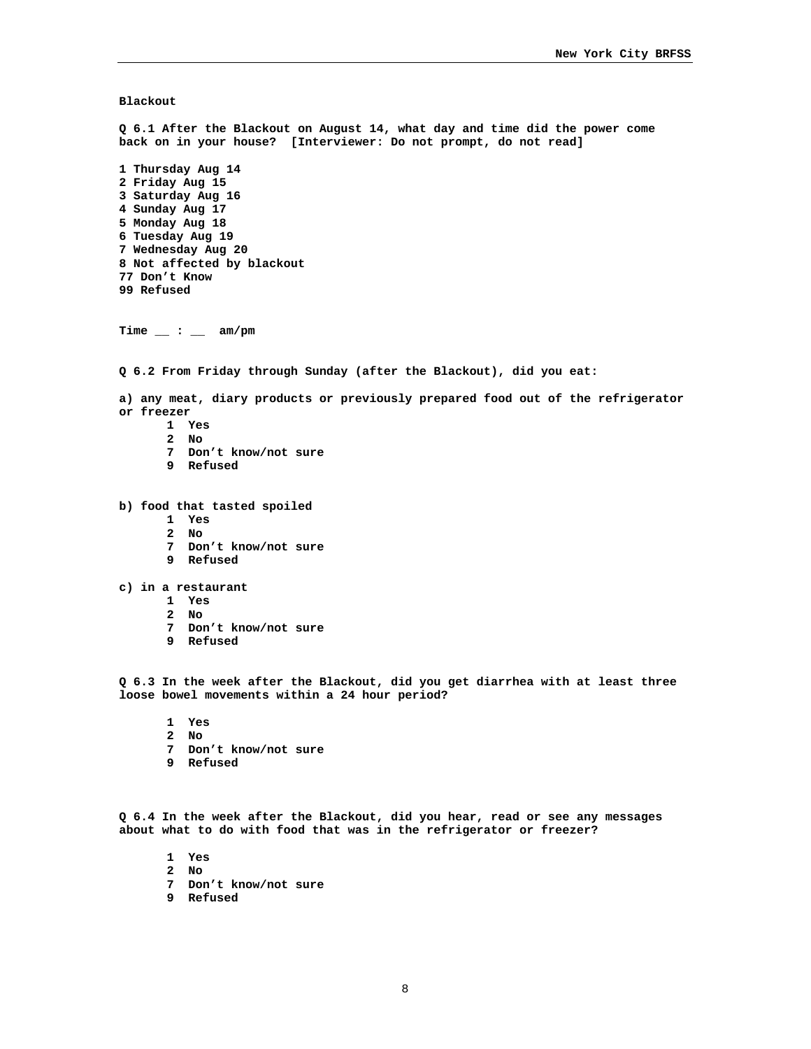**Blackout** 

**Q 6.1 After the Blackout on August 14, what day and time did the power come back on in your house? [Interviewer: Do not prompt, do not read] 1 Thursday Aug 14 2 Friday Aug 15 3 Saturday Aug 16 4 Sunday Aug 17 5 Monday Aug 18 6 Tuesday Aug 19 7 Wednesday Aug 20 8 Not affected by blackout 77 Don't Know 99 Refused Time \_\_ : \_\_ am/pm Q 6.2 From Friday through Sunday (after the Blackout), did you eat: a) any meat, diary products or previously prepared food out of the refrigerator or freezer 1 Yes 2 No 7 Don't know/not sure 9 Refused b) food that tasted spoiled 1 Yes 2 No 7 Don't know/not sure 9 Refused c) in a restaurant 1 Yes 2 No 7 Don't know/not sure 9 Refused Q 6.3 In the week after the Blackout, did you get diarrhea with at least three loose bowel movements within a 24 hour period? 1 Yes 2 No 7 Don't know/not sure 9 Refused Q 6.4 In the week after the Blackout, did you hear, read or see any messages about what to do with food that was in the refrigerator or freezer?** 

- **1 Yes**
- **2 No**
- **7 Don't know/not sure**
- **9 Refused**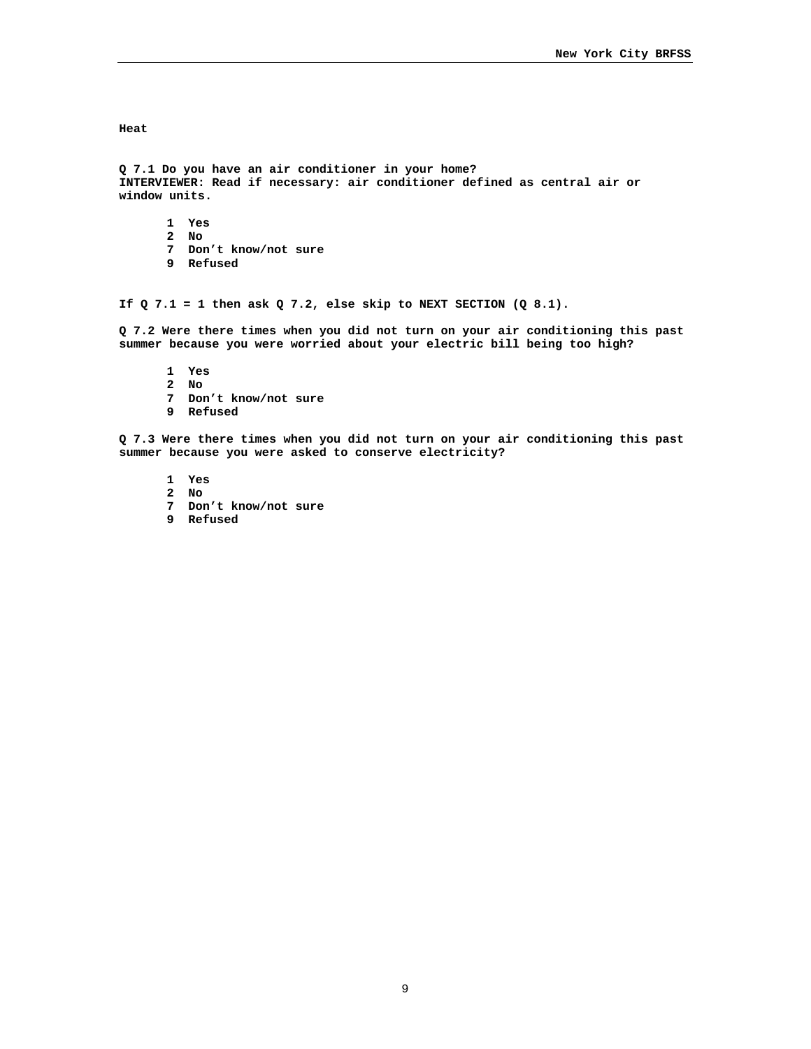**Heat** 

**Q 7.1 Do you have an air conditioner in your home? INTERVIEWER: Read if necessary: air conditioner defined as central air or window units.** 

**1 Yes 2 No 7 Don't know/not sure 9 Refused** 

If  $Q$  7.1 = 1 then ask  $Q$  7.2, else skip to NEXT SECTION  $(Q 8.1)$ .

**Q 7.2 Were there times when you did not turn on your air conditioning this past summer because you were worried about your electric bill being too high?** 

**1 Yes 2 No 7 Don't know/not sure 9 Refused** 

**Q 7.3 Were there times when you did not turn on your air conditioning this past summer because you were asked to conserve electricity?** 

- **1 Yes**
- **2 No**
- **7 Don't know/not sure**
- **9 Refused**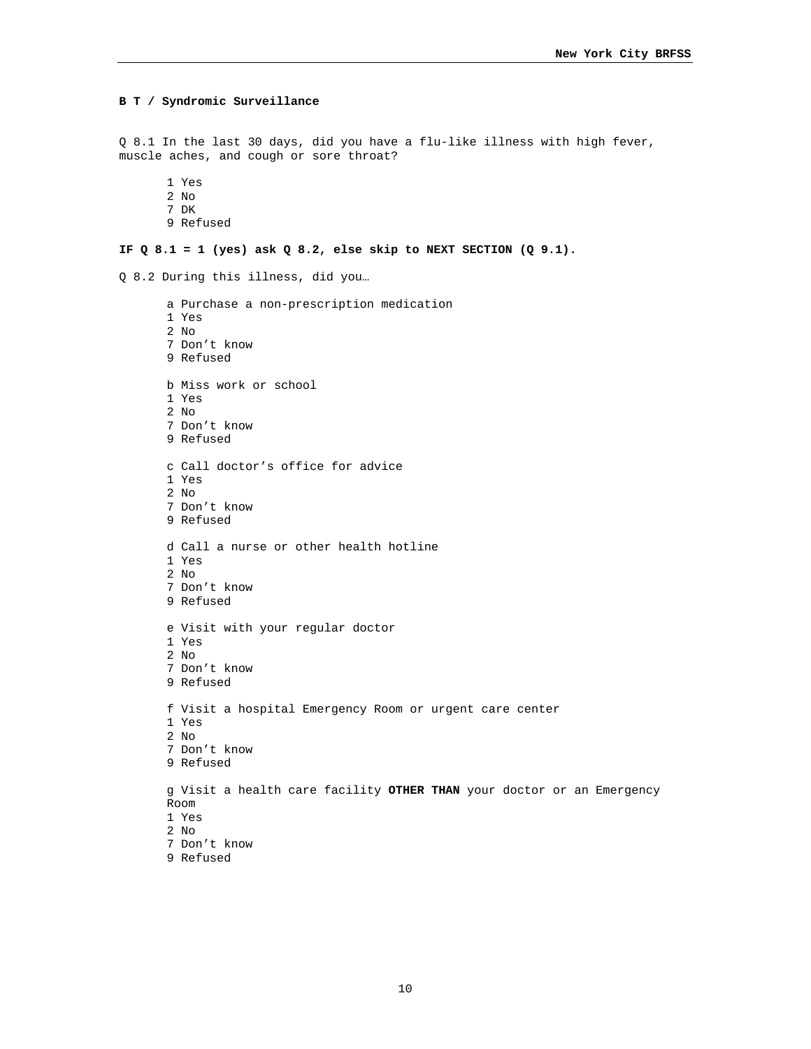```
B T / Syndromic Surveillance 
Q 8.1 In the last 30 days, did you have a flu-like illness with high fever, 
muscle aches, and cough or sore throat? 
       1 Yes 
       2 No 
       7 DK 
       9 Refused 
IF Q 8.1 = 1 (yes) ask Q 8.2, else skip to NEXT SECTION (Q 9.1). 
Q 8.2 During this illness, did you… 
       a Purchase a non-prescription medication 
       1 Yes 
       2 No 
       7 Don't know 
       9 Refused 
       b Miss work or school 
       1 Yes 
       2 No 
       7 Don't know 
       9 Refused 
       c Call doctor's office for advice 
       1 Yes 
       2 No 
       7 Don't know 
       9 Refused 
       d Call a nurse or other health hotline 
       1 Yes 
       2 No 
       7 Don't know 
       9 Refused 
       e Visit with your regular doctor 
       1 Yes 
       2 No 
       7 Don't know 
       9 Refused 
       f Visit a hospital Emergency Room or urgent care center 
       1 Yes 
       2 No 
       7 Don't know 
       9 Refused 
       g Visit a health care facility OTHER THAN your doctor or an Emergency 
       Room 
       1 Yes 
       2 No 
       7 Don't know 
       9 Refused
```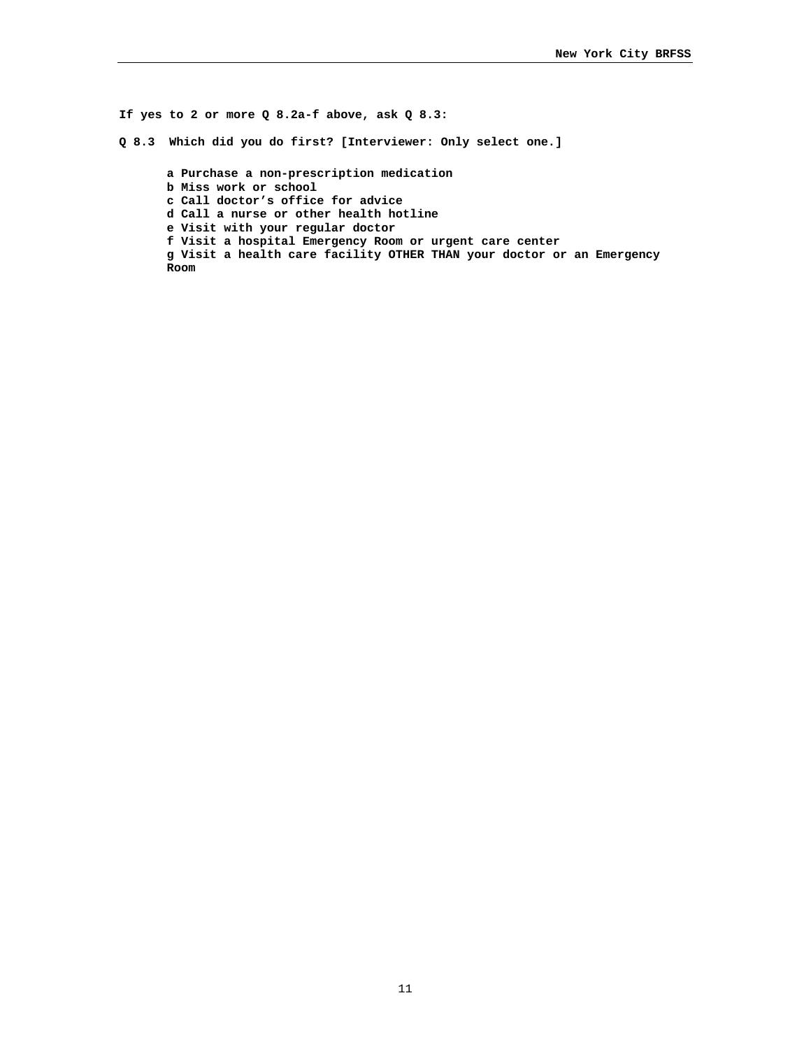**If yes to 2 or more Q 8.2a-f above, ask Q 8.3: Q 8.3 Which did you do first? [Interviewer: Only select one.] a Purchase a non-prescription medication b Miss work or school c Call doctor's office for advice d Call a nurse or other health hotline e Visit with your regular doctor f Visit a hospital Emergency Room or urgent care center g Visit a health care facility OTHER THAN your doctor or an Emergency Room**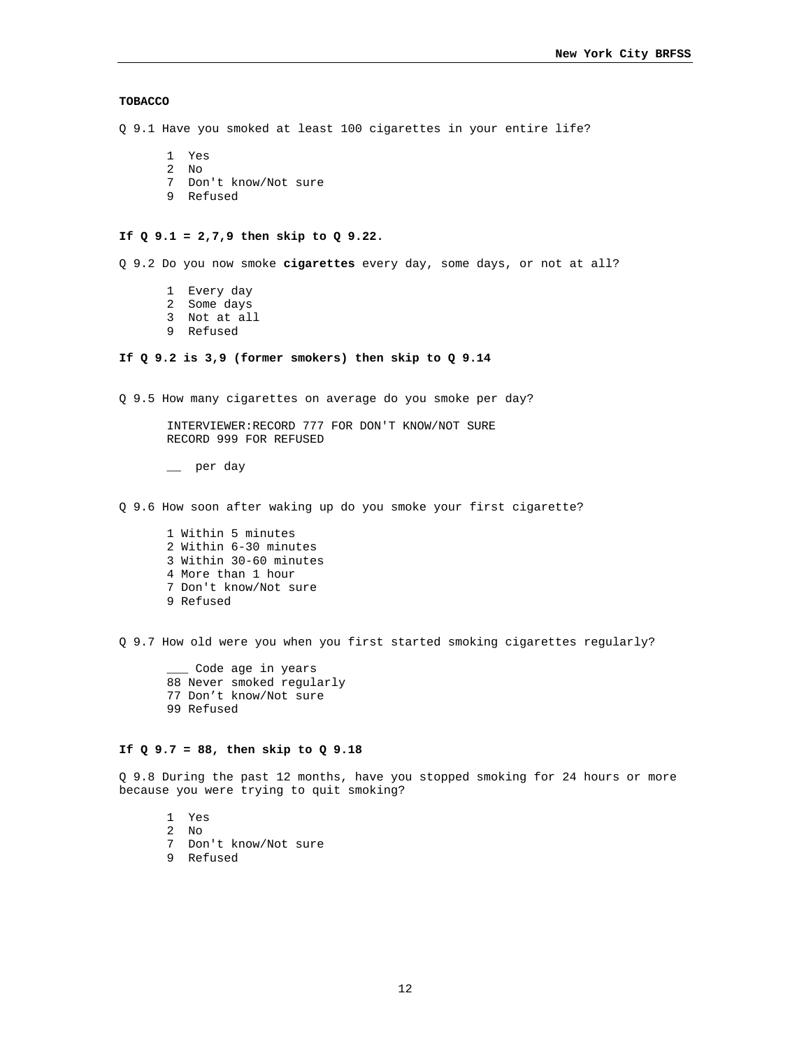# **TOBACCO**

Q 9.1 Have you smoked at least 100 cigarettes in your entire life?

- 1 Yes
- 2 No
- 7 Don't know/Not sure
- 9 Refused

#### **If Q 9.1 = 2,7,9 then skip to Q 9.22.**

Q 9.2 Do you now smoke **cigarettes** every day, some days, or not at all?

- 1 Every day
- 2 Some days
- 3 Not at all
- 9 Refused

# **If Q 9.2 is 3,9 (former smokers) then skip to Q 9.14**

Q 9.5 How many cigarettes on average do you smoke per day?

INTERVIEWER:RECORD 777 FOR DON'T KNOW/NOT SURE RECORD 999 FOR REFUSED

\_\_ per day

Q 9.6 How soon after waking up do you smoke your first cigarette?

1 Within 5 minutes 2 Within 6-30 minutes 3 Within 30-60 minutes 4 More than 1 hour 7 Don't know/Not sure 9 Refused

Q 9.7 How old were you when you first started smoking cigarettes regularly?

\_\_\_ Code age in years 88 Never smoked regularly 77 Don't know/Not sure 99 Refused

## **If Q 9.7 = 88, then skip to Q 9.18**

Q 9.8 During the past 12 months, have you stopped smoking for 24 hours or more because you were trying to quit smoking?

- 1 Yes
- 2 No
- 7 Don't know/Not sure
- 9 Refused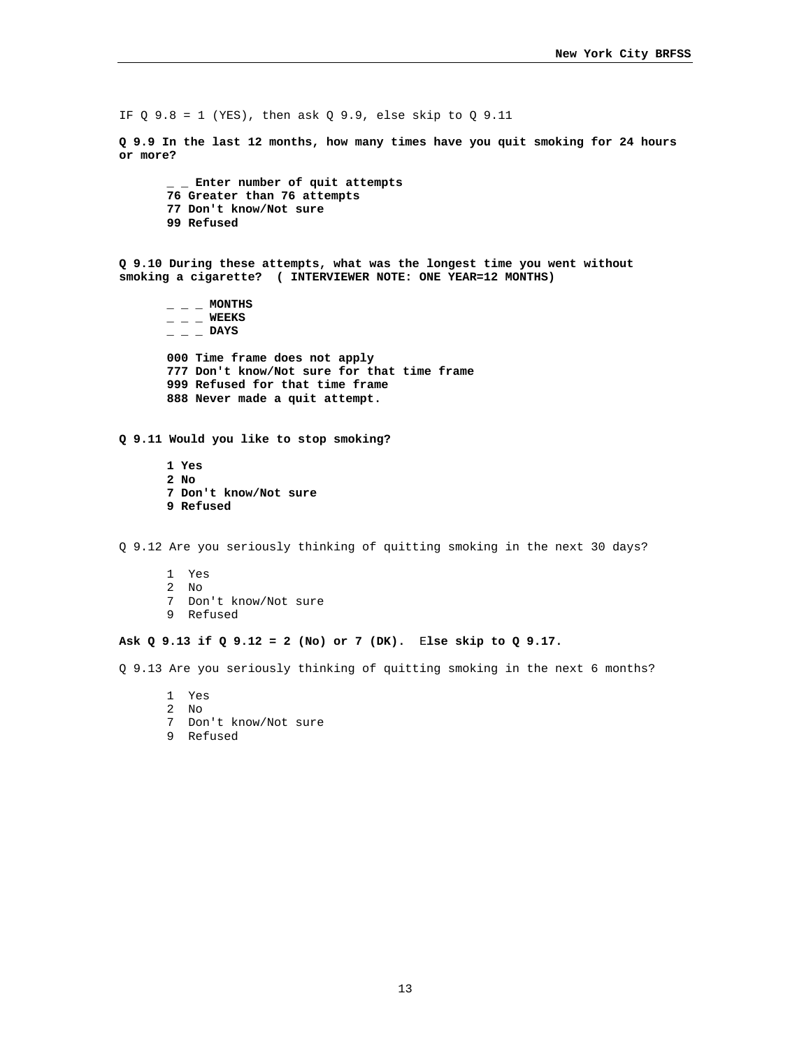IF Q 9.8 = 1 (YES), then ask  $Q$  9.9, else skip to  $Q$  9.11

**Q 9.9 In the last 12 months, how many times have you quit smoking for 24 hours or more?** 

**\_ \_ Enter number of quit attempts 76 Greater than 76 attempts 77 Don't know/Not sure 99 Refused** 

**Q 9.10 During these attempts, what was the longest time you went without smoking a cigarette? ( INTERVIEWER NOTE: ONE YEAR=12 MONTHS)** 

 $-$  **MONTHS \_ \_ \_ WEEKS \_ \_ \_ DAYS 000 Time frame does not apply 777 Don't know/Not sure for that time frame 999 Refused for that time frame 888 Never made a quit attempt.** 

**Q 9.11 Would you like to stop smoking?** 

**1 Yes 2 No 7 Don't know/Not sure 9 Refused** 

Q 9.12 Are you seriously thinking of quitting smoking in the next 30 days?

1 Yes 2 No 7 Don't know/Not sure 9 Refused

# **Ask Q 9.13 if Q 9.12 = 2 (No) or 7 (DK).** E**lse skip to Q 9.17.**

Q 9.13 Are you seriously thinking of quitting smoking in the next 6 months?

- 1 Yes
- 2 No
- 7 Don't know/Not sure
- 9 Refused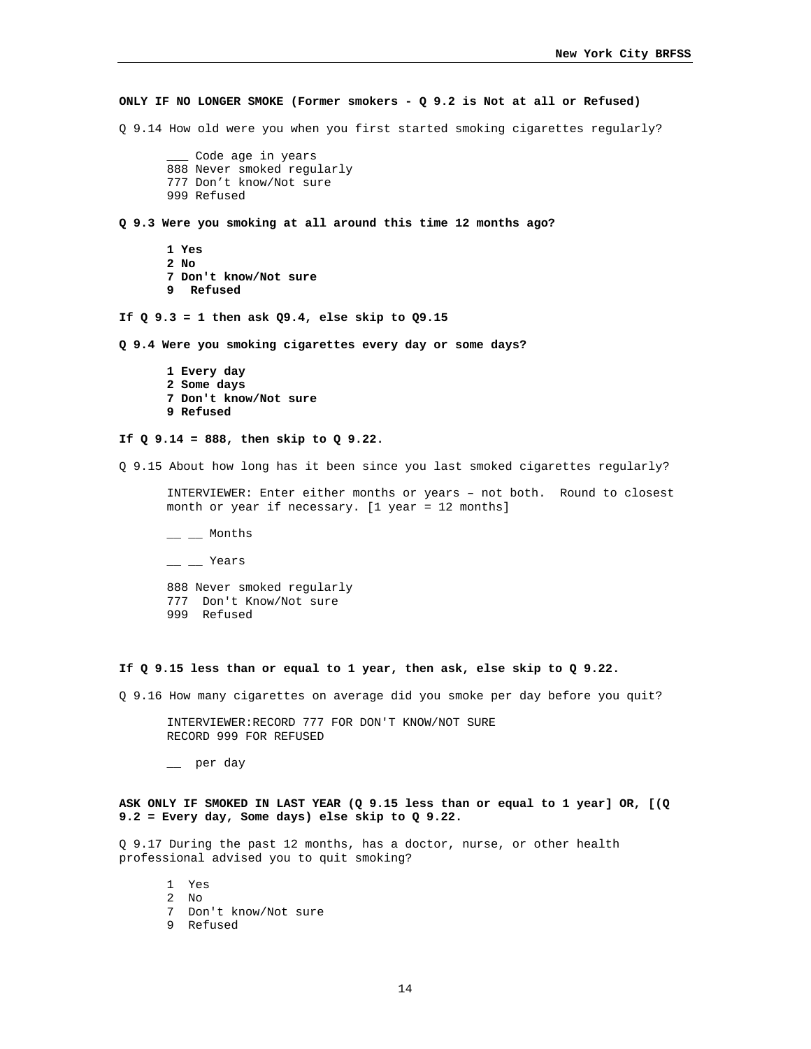**ONLY IF NO LONGER SMOKE (Former smokers - Q 9.2 is Not at all or Refused)**  Q 9.14 How old were you when you first started smoking cigarettes regularly? Code age in years 888 Never smoked regularly 777 Don't know/Not sure 999 Refused **Q 9.3 Were you smoking at all around this time 12 months ago? 1 Yes 2 No 7 Don't know/Not sure 9 Refused If Q 9.3 = 1 then ask Q9.4, else skip to Q9.15 Q 9.4 Were you smoking cigarettes every day or some days? 1 Every day 2 Some days 7 Don't know/Not sure 9 Refused If Q 9.14 = 888, then skip to Q 9.22.**  Q 9.15 About how long has it been since you last smoked cigarettes regularly? INTERVIEWER: Enter either months or years – not both. Round to closest month or year if necessary. [1 year = 12 months]  $\equiv$   $\equiv$  Months  $-$  Years 888 Never smoked regularly 777 Don't Know/Not sure 999 Refused **If Q 9.15 less than or equal to 1 year, then ask, else skip to Q 9.22.**  Q 9.16 How many cigarettes on average did you smoke per day before you quit? INTERVIEWER:RECORD 777 FOR DON'T KNOW/NOT SURE RECORD 999 FOR REFUSED \_\_ per day **ASK ONLY IF SMOKED IN LAST YEAR (Q 9.15 less than or equal to 1 year] OR, [(Q 9.2 = Every day, Some days) else skip to Q 9.22.**  Q 9.17 During the past 12 months, has a doctor, nurse, or other health

1 Yes 2 No 7 Don't know/Not sure 9 Refused

professional advised you to quit smoking?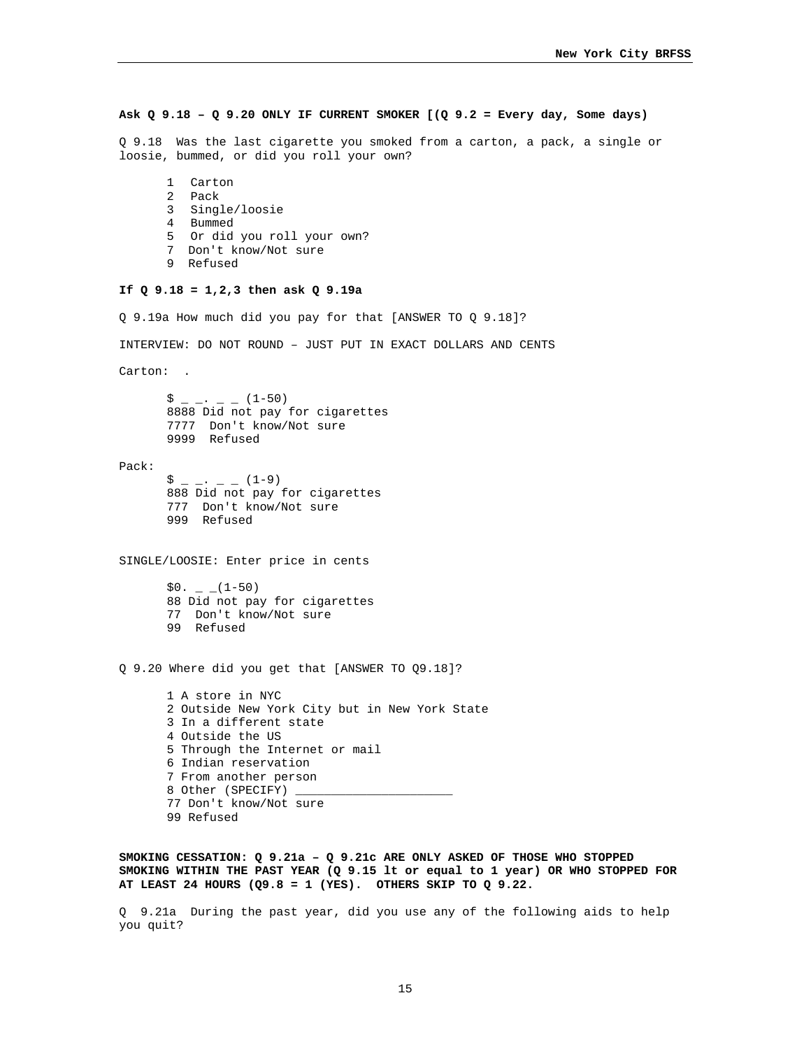# **Ask Q 9.18 – Q 9.20 ONLY IF CURRENT SMOKER [(Q 9.2 = Every day, Some days)**

Q 9.18 Was the last cigarette you smoked from a carton, a pack, a single or loosie, bummed, or did you roll your own?

- 1 Carton 2 Pack
- 3 Single/loosie
- 4 Bummed
- 5 Or did you roll your own?
- 7 Don't know/Not sure
- 9 Refused

# **If Q 9.18 = 1,2,3 then ask Q 9.19a**

Q 9.19a How much did you pay for that [ANSWER TO Q 9.18]?

INTERVIEW: DO NOT ROUND – JUST PUT IN EXACT DOLLARS AND CENTS

Carton: .

 $\hat{S}$  \_ \_ . \_ \_ (1-50) 8888 Did not pay for cigarettes 7777 Don't know/Not sure 9999 Refused

Pack:

 $\sin 2x - \cos 2x - \sin 2x - \sin 2x - \sin 2x - \sin 2x - \sin 2x - \sin 2x - \sin 2x - \sin 2x - \sin 2x - \sin 2x - \sin 2x - \sin 2x - \sin 2x - \sin 2x - \sin 2x - \sin 2x - \sin 2x - \sin 2x - \sin 2x - \sin 2x - \sin 2x - \sin 2x - \sin 2x - \sin 2x - \sin 2x - \sin 2x - \sin 2x - \sin 2x - \sin 2x - \sin 2x - \sin 2x - \sin 2x - \sin 2x - \sin 2x - \sin 2$ 888 Did not pay for cigarettes 777 Don't know/Not sure 999 Refused

SINGLE/LOOSIE: Enter price in cents

 $$0. - (1-50)$ 88 Did not pay for cigarettes 77 Don't know/Not sure 99 Refused

Q 9.20 Where did you get that [ANSWER TO Q9.18]?

1 A store in NYC 2 Outside New York City but in New York State 3 In a different state 4 Outside the US 5 Through the Internet or mail 6 Indian reservation 7 From another person 8 Other (SPECIFY) 77 Don't know/Not sure 99 Refused

**SMOKING CESSATION: Q 9.21a – Q 9.21c ARE ONLY ASKED OF THOSE WHO STOPPED SMOKING WITHIN THE PAST YEAR (Q 9.15 lt or equal to 1 year) OR WHO STOPPED FOR AT LEAST 24 HOURS (Q9.8 = 1 (YES). OTHERS SKIP TO Q 9.22.** 

Q 9.21a During the past year, did you use any of the following aids to help you quit?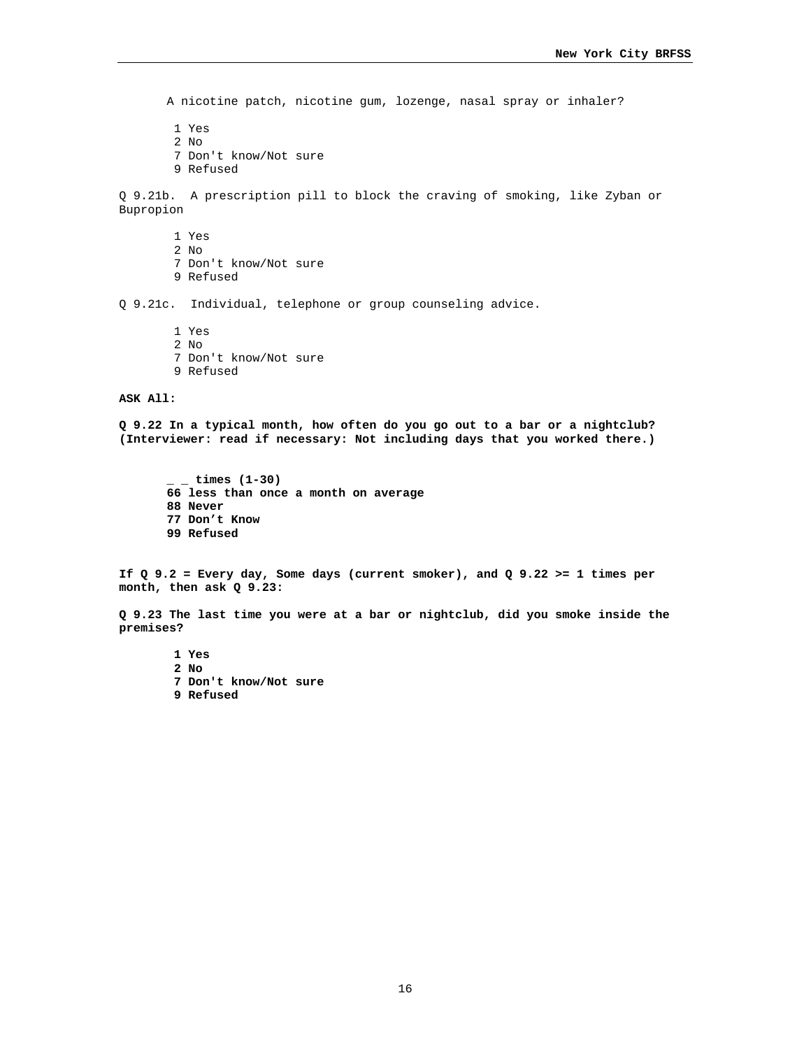A nicotine patch, nicotine gum, lozenge, nasal spray or inhaler?

1 Yes

2 No

7 Don't know/Not sure

9 Refused

Q 9.21b. A prescription pill to block the craving of smoking, like Zyban or Bupropion

1 Yes

2 No

- 7 Don't know/Not sure
- 9 Refused

Q 9.21c. Individual, telephone or group counseling advice.

 1 Yes 2 No 7 Don't know/Not sure 9 Refused

#### **ASK All:**

**Q 9.22 In a typical month, how often do you go out to a bar or a nightclub? (Interviewer: read if necessary: Not including days that you worked there.)** 

**\_ \_ times (1-30) 66 less than once a month on average 88 Never 77 Don't Know 99 Refused** 

**If Q 9.2 = Every day, Some days (current smoker), and Q 9.22 >= 1 times per month, then ask Q 9.23:** 

**Q 9.23 The last time you were at a bar or nightclub, did you smoke inside the premises?** 

 **1 Yes 2 No 7 Don't know/Not sure 9 Refused**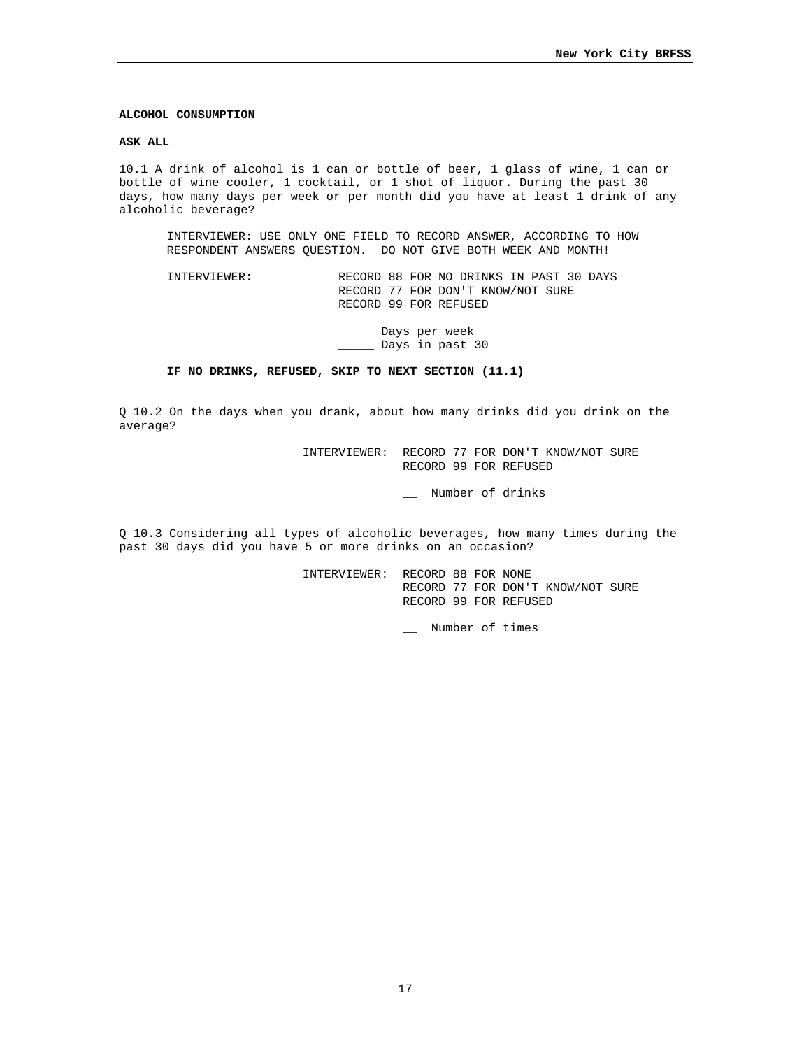### **ALCOHOL CONSUMPTION**

#### **ASK ALL**

10.1 A drink of alcohol is 1 can or bottle of beer, 1 glass of wine, 1 can or bottle of wine cooler, 1 cocktail, or 1 shot of liquor. During the past 30 days, how many days per week or per month did you have at least 1 drink of any alcoholic beverage?

INTERVIEWER: USE ONLY ONE FIELD TO RECORD ANSWER, ACCORDING TO HOW RESPONDENT ANSWERS QUESTION. DO NOT GIVE BOTH WEEK AND MONTH!

INTERVIEWER: RECORD 88 FOR NO DRINKS IN PAST 30 DAYS RECORD 77 FOR DON'T KNOW/NOT SURE RECORD 99 FOR REFUSED

> \_\_\_\_\_ Days per week \_\_\_\_\_ Days in past 30

# **IF NO DRINKS, REFUSED, SKIP TO NEXT SECTION (11.1)**

Q 10.2 On the days when you drank, about how many drinks did you drink on the average?

> INTERVIEWER: RECORD 77 FOR DON'T KNOW/NOT SURE RECORD 99 FOR REFUSED

> > \_\_ Number of drinks

Q 10.3 Considering all types of alcoholic beverages, how many times during the past 30 days did you have 5 or more drinks on an occasion?

> INTERVIEWER: RECORD 88 FOR NONE RECORD 77 FOR DON'T KNOW/NOT SURE RECORD 99 FOR REFUSED

> > \_\_ Number of times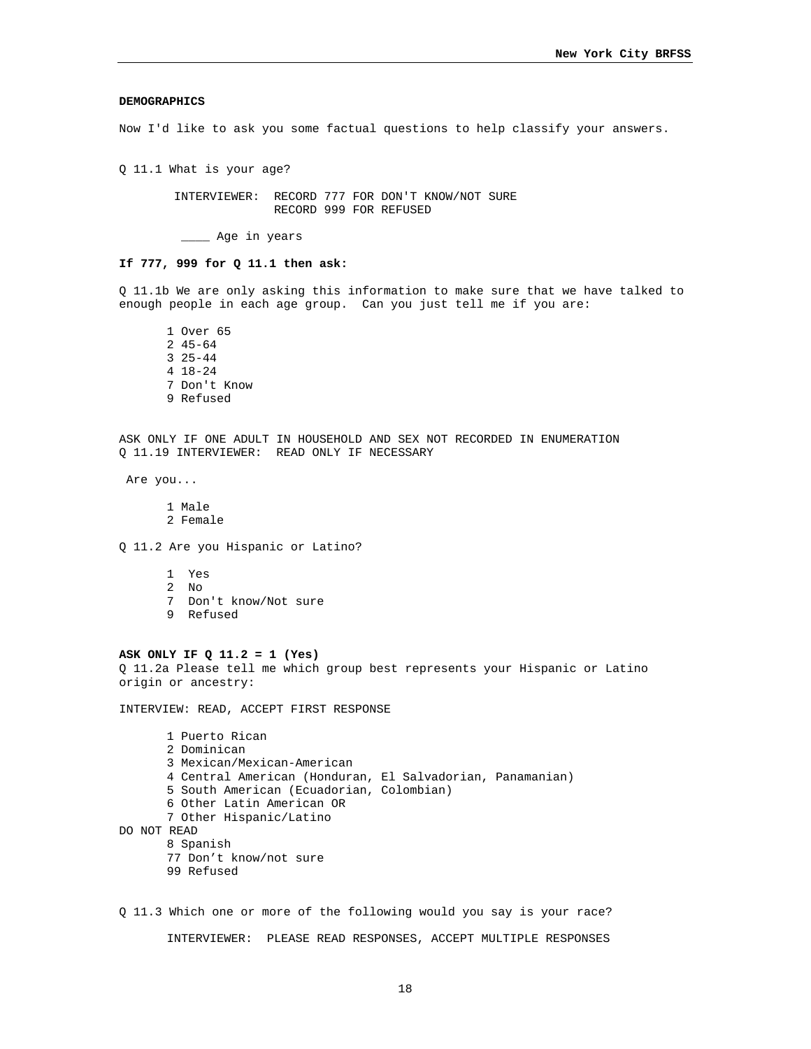### **DEMOGRAPHICS**

Now I'd like to ask you some factual questions to help classify your answers.

Q 11.1 What is your age?

 INTERVIEWER: RECORD 777 FOR DON'T KNOW/NOT SURE RECORD 999 FOR REFUSED

\_\_\_\_ Age in years

## **If 777, 999 for Q 11.1 then ask:**

Q 11.1b We are only asking this information to make sure that we have talked to enough people in each age group. Can you just tell me if you are:

1 Over 65 2 45-64 3 25-44 4 18-24 7 Don't Know 9 Refused

ASK ONLY IF ONE ADULT IN HOUSEHOLD AND SEX NOT RECORDED IN ENUMERATION Q 11.19 INTERVIEWER: READ ONLY IF NECESSARY

Are you...

1 Male 2 Female

Q 11.2 Are you Hispanic or Latino?

1 Yes 2 No 7 Don't know/Not sure 9 Refused

# **ASK ONLY IF Q 11.2 = 1 (Yes)**

Q 11.2a Please tell me which group best represents your Hispanic or Latino origin or ancestry:

INTERVIEW: READ, ACCEPT FIRST RESPONSE

1 Puerto Rican 2 Dominican 3 Mexican/Mexican-American 4 Central American (Honduran, El Salvadorian, Panamanian) 5 South American (Ecuadorian, Colombian) 6 Other Latin American OR 7 Other Hispanic/Latino DO NOT READ 8 Spanish 77 Don't know/not sure 99 Refused

Q 11.3 Which one or more of the following would you say is your race? INTERVIEWER: PLEASE READ RESPONSES, ACCEPT MULTIPLE RESPONSES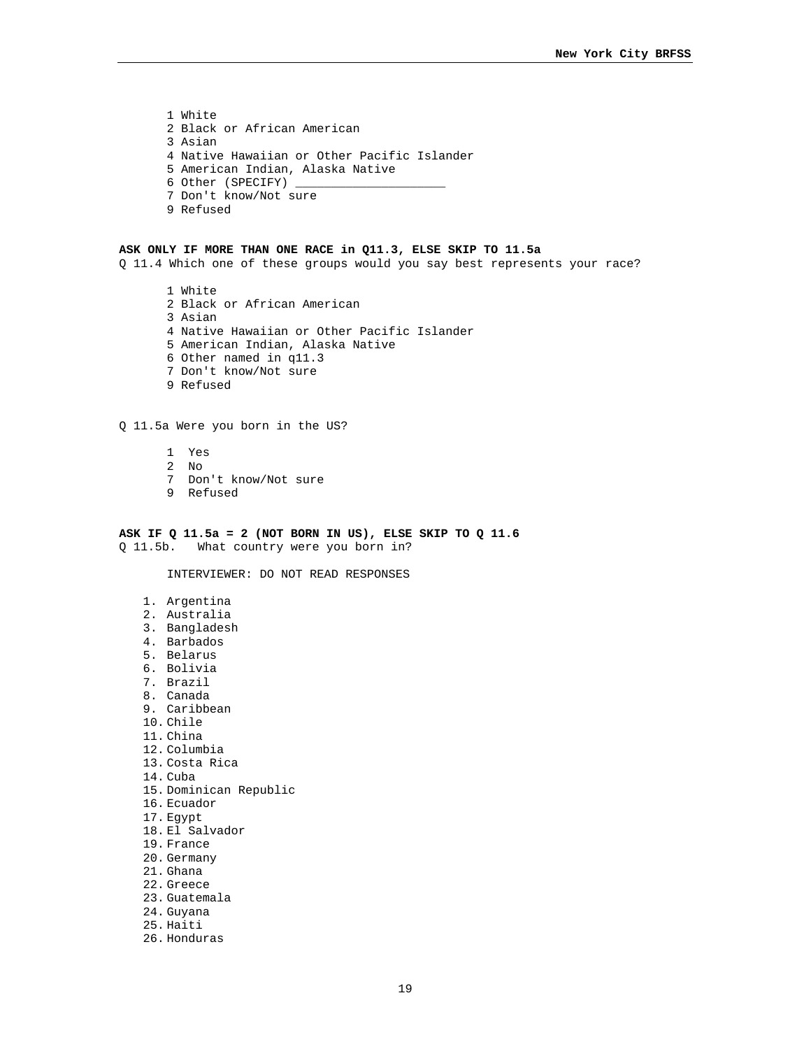1 White 2 Black or African American 3 Asian 4 Native Hawaiian or Other Pacific Islander 5 American Indian, Alaska Native 6 Other (SPECIFY)  $\overline{\phantom{0}}$ 7 Don't know/Not sure 9 Refused

#### **ASK ONLY IF MORE THAN ONE RACE in Q11.3, ELSE SKIP TO 11.5a**

Q 11.4 Which one of these groups would you say best represents your race?

1 White 2 Black or African American 3 Asian 4 Native Hawaiian or Other Pacific Islander 5 American Indian, Alaska Native 6 Other named in q11.3 7 Don't know/Not sure 9 Refused

## Q 11.5a Were you born in the US?

- 1 Yes
- 2 No
- 7 Don't know/Not sure
- 9 Refused

**ASK IF Q 11.5a = 2 (NOT BORN IN US), ELSE SKIP TO Q 11.6**  Q 11.5b. What country were you born in?

INTERVIEWER: DO NOT READ RESPONSES

- 1. Argentina
- 2. Australia
- 3. Bangladesh
- 4. Barbados
- 5. Belarus
- 6. Bolivia
- 7. Brazil
- 8. Canada
- 9. Caribbean
- 10. Chile
- 11. China
- 
- 12. Columbia
- 13. Costa Rica
- 14. Cuba
- 15. Dominican Republic
- 16. Ecuador
- 17. Egypt
- 18. El Salvador
- 19. France
- 20. Germany
- 21. Ghana
- 22. Greece
- 23. Guatemala
- 24. Guyana
- 25. Haiti
- 26. Honduras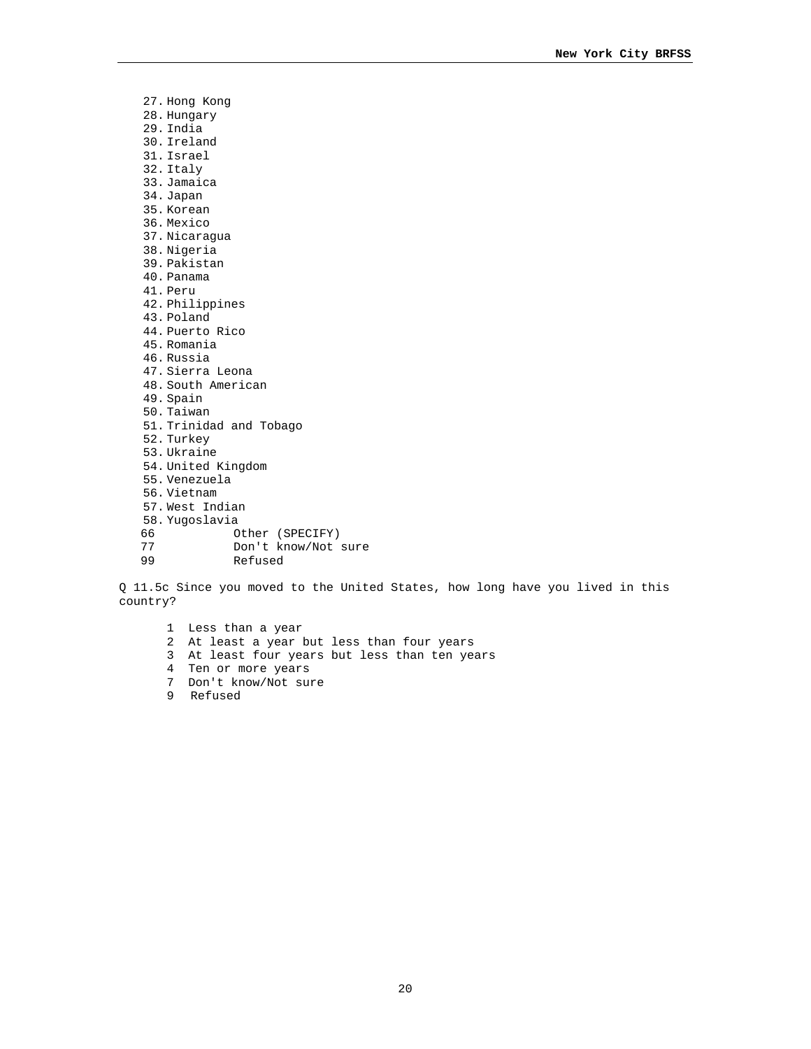27. Hong Kong 28. Hungary 29. India 30. Ireland 31. Israel 32. Italy 33. Jamaica 34. Japan 35. Korean 36. Mexico 37. Nicaragua 38. Nigeria 39. Pakistan 40. Panama 41. Peru 42. Philippines 43. Poland 44. Puerto Rico 45. Romania 46. Russia 47. Sierra Leona 48. South American 49. Spain 50. Taiwan 51. Trinidad and Tobago 52. Turkey 53. Ukraine 54. United Kingdom 55. Venezuela 56. Vietnam 57. West Indian 58. Yugoslavia 66 Other (SPECIFY)<br>77 Don't know/Not 77 Don't know/Not sure<br>99 Refused 99 Refused

Q 11.5c Since you moved to the United States, how long have you lived in this country?

1 Less than a year 2 At least a year but less than four years 3 At least four years but less than ten years 4 Ten or more years 7 Don't know/Not sure 9 Refused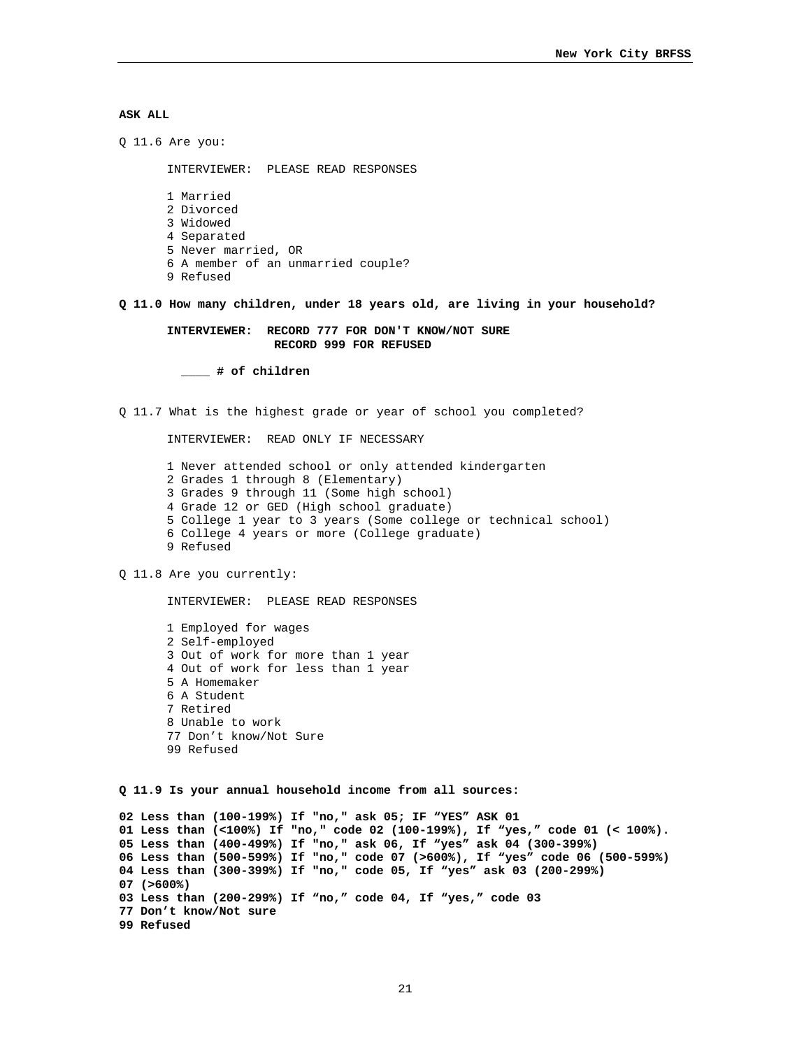# **ASK ALL**

Q 11.6 Are you: INTERVIEWER: PLEASE READ RESPONSES 1 Married 2 Divorced 3 Widowed 4 Separated 5 Never married, OR 6 A member of an unmarried couple? 9 Refused **Q 11.0 How many children, under 18 years old, are living in your household? INTERVIEWER: RECORD 777 FOR DON'T KNOW/NOT SURE RECORD 999 FOR REFUSED \_\_\_\_ # of children**  Q 11.7 What is the highest grade or year of school you completed? INTERVIEWER: READ ONLY IF NECESSARY 1 Never attended school or only attended kindergarten 2 Grades 1 through 8 (Elementary) 3 Grades 9 through 11 (Some high school) 4 Grade 12 or GED (High school graduate) 5 College 1 year to 3 years (Some college or technical school) 6 College 4 years or more (College graduate) 9 Refused Q 11.8 Are you currently: INTERVIEWER: PLEASE READ RESPONSES 1 Employed for wages 2 Self-employed 3 Out of work for more than 1 year 4 Out of work for less than 1 year 5 A Homemaker 6 A Student 7 Retired 8 Unable to work 77 Don't know/Not Sure 99 Refused **Q 11.9 Is your annual household income from all sources: 02 Less than (100-199%) If "no," ask 05; IF "YES" ASK 01 01 Less than (<100%) If "no," code 02 (100-199%), If "yes," code 01 (< 100%). 05 Less than (400-499%) If "no," ask 06, If "yes" ask 04 (300-399%) 06 Less than (500-599%) If "no," code 07 (>600%), If "yes" code 06 (500-599%) 04 Less than (300-399%) If "no," code 05, If "yes" ask 03 (200-299%) 07 (>600%) 03 Less than (200-299%) If "no," code 04, If "yes," code 03 77 Don't know/Not sure 99 Refused**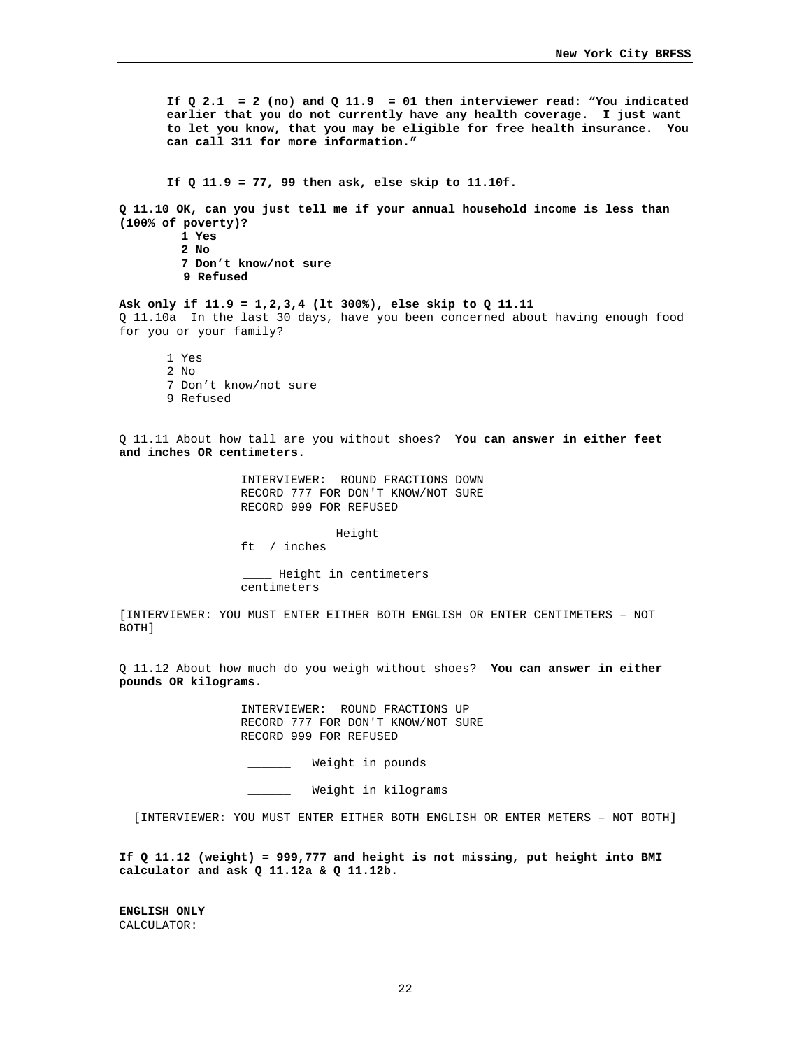If  $Q$  2.1 = 2 (no) and  $Q$  11.9 = 01 then interviewer read: "You indicated **earlier that you do not currently have any health coverage. I just want to let you know, that you may be eligible for free health insurance. You can call 311 for more information."** 

**If Q 11.9 = 77, 99 then ask, else skip to 11.10f.** 

**Q 11.10 OK, can you just tell me if your annual household income is less than (100% of poverty)?** 

> **1 Yes 2 No 7 Don't know/not sure 9 Refused**

**Ask only if 11.9 = 1,2,3,4 (lt 300%), else skip to Q 11.11**  Q 11.10a In the last 30 days, have you been concerned about having enough food for you or your family?

1 Yes 2 No 7 Don't know/not sure 9 Refused

Q 11.11 About how tall are you without shoes? **You can answer in either feet and inches OR centimeters.** 

> INTERVIEWER: ROUND FRACTIONS DOWN RECORD 777 FOR DON'T KNOW/NOT SURE RECORD 999 FOR REFUSED

 \_\_\_\_ \_\_\_\_\_\_ Height ft / inches

 \_\_\_\_ Height in centimeters centimeters

[INTERVIEWER: YOU MUST ENTER EITHER BOTH ENGLISH OR ENTER CENTIMETERS – NOT BOTH]

Q 11.12 About how much do you weigh without shoes? **You can answer in either pounds OR kilograms.** 

> INTERVIEWER: ROUND FRACTIONS UP RECORD 777 FOR DON'T KNOW/NOT SURE RECORD 999 FOR REFUSED

\_\_\_\_\_\_ Weight in pounds

Weight in kilograms

[INTERVIEWER: YOU MUST ENTER EITHER BOTH ENGLISH OR ENTER METERS – NOT BOTH]

**If Q 11.12 (weight) = 999,777 and height is not missing, put height into BMI calculator and ask Q 11.12a & Q 11.12b.** 

**ENGLISH ONLY**  CALCULATOR: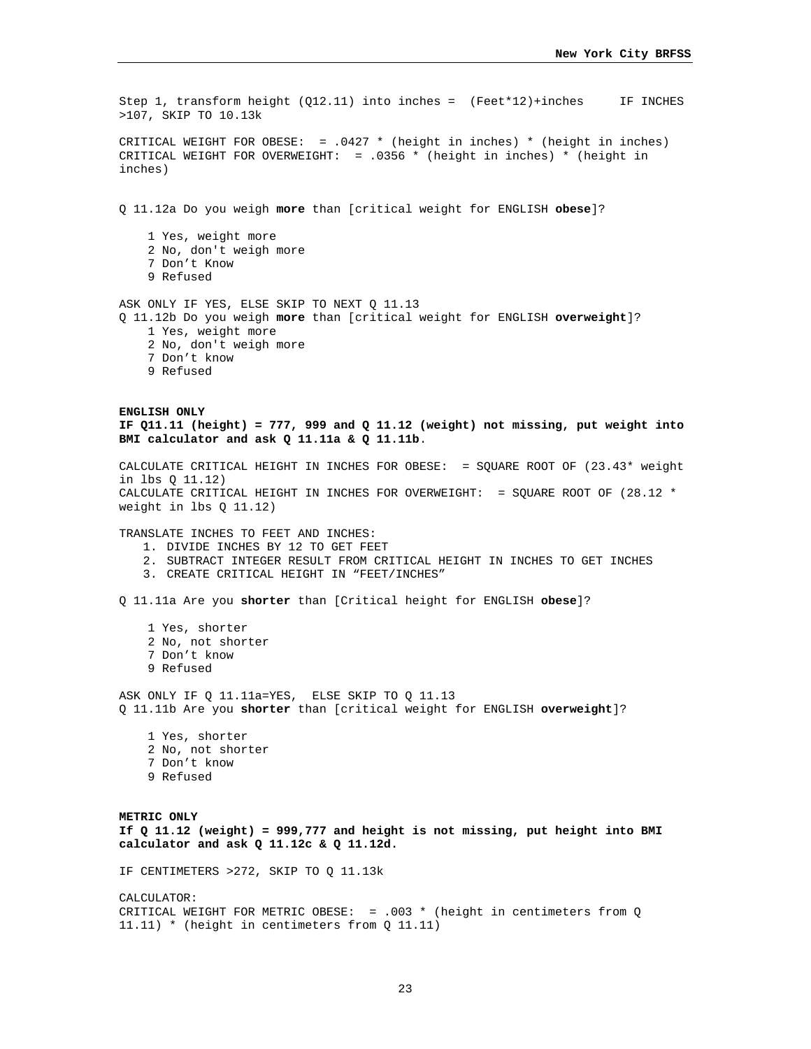Step 1, transform height ( $Q12.11$ ) into inches = (Feet\*12)+inches IF INCHES >107, SKIP TO 10.13k CRITICAL WEIGHT FOR OBESE: = .0427 \* (height in inches) \* (height in inches) CRITICAL WEIGHT FOR OVERWEIGHT: = .0356 \* (height in inches) \* (height in inches) Q 11.12a Do you weigh **more** than [critical weight for ENGLISH **obese**]? 1 Yes, weight more 2 No, don't weigh more 7 Don't Know 9 Refused ASK ONLY IF YES, ELSE SKIP TO NEXT Q 11.13 Q 11.12b Do you weigh **more** than [critical weight for ENGLISH **overweight**]? 1 Yes, weight more 2 No, don't weigh more 7 Don't know 9 Refused **ENGLISH ONLY IF Q11.11 (height) = 777, 999 and Q 11.12 (weight) not missing, put weight into BMI calculator and ask Q 11.11a & Q 11.11b**. CALCULATE CRITICAL HEIGHT IN INCHES FOR OBESE: = SQUARE ROOT OF (23.43\* weight in lbs Q 11.12) CALCULATE CRITICAL HEIGHT IN INCHES FOR OVERWEIGHT: = SOUARE ROOT OF  $(28.12$  \* weight in lbs Q 11.12) TRANSLATE INCHES TO FEET AND INCHES: 1. DIVIDE INCHES BY 12 TO GET FEET 2. SUBTRACT INTEGER RESULT FROM CRITICAL HEIGHT IN INCHES TO GET INCHES 3. CREATE CRITICAL HEIGHT IN "FEET/INCHES" Q 11.11a Are you **shorter** than [Critical height for ENGLISH **obese**]? 1 Yes, shorter 2 No, not shorter 7 Don't know 9 Refused ASK ONLY IF Q 11.11a=YES, ELSE SKIP TO Q 11.13 Q 11.11b Are you **shorter** than [critical weight for ENGLISH **overweight**]? 1 Yes, shorter 2 No, not shorter 7 Don't know 9 Refused **METRIC ONLY If Q 11.12 (weight) = 999,777 and height is not missing, put height into BMI calculator and ask Q 11.12c & Q 11.12d.**  IF CENTIMETERS >272, SKIP TO Q 11.13k CALCULATOR: CRITICAL WEIGHT FOR METRIC OBESE: = .003 \* (height in centimeters from Q 11.11) \* (height in centimeters from Q 11.11)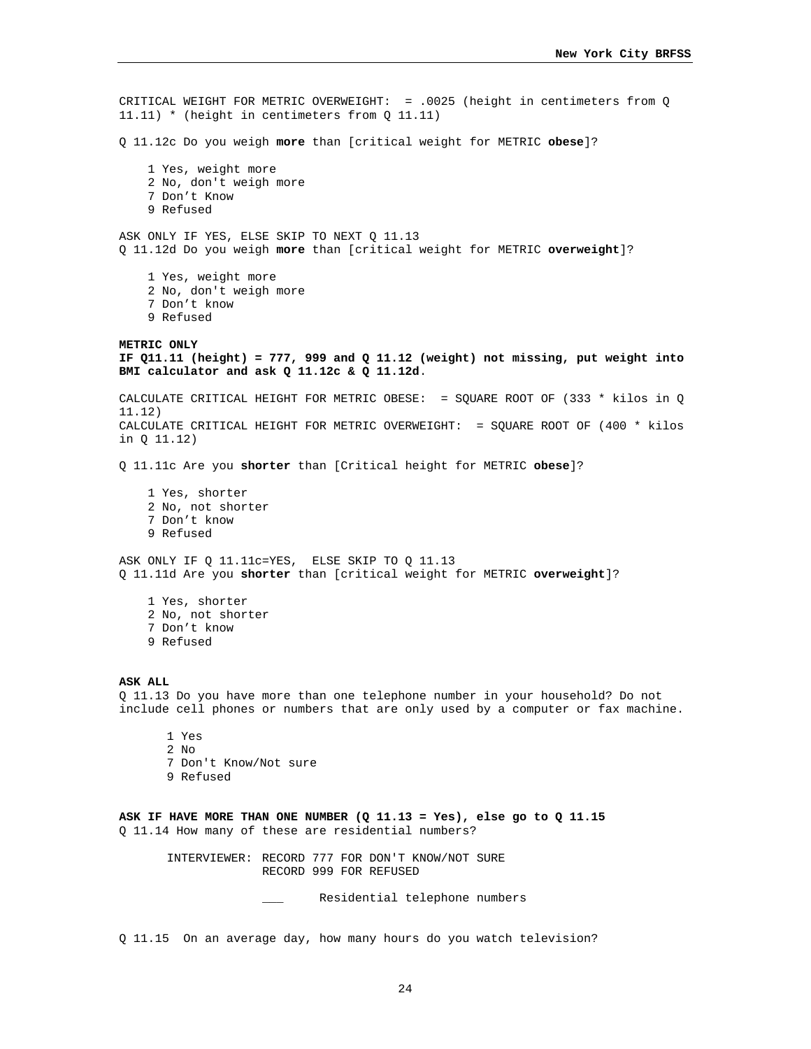CRITICAL WEIGHT FOR METRIC OVERWEIGHT: = .0025 (height in centimeters from Q 11.11) \* (height in centimeters from Q 11.11) Q 11.12c Do you weigh **more** than [critical weight for METRIC **obese**]? 1 Yes, weight more 2 No, don't weigh more 7 Don't Know 9 Refused ASK ONLY IF YES, ELSE SKIP TO NEXT Q 11.13 Q 11.12d Do you weigh **more** than [critical weight for METRIC **overweight**]? 1 Yes, weight more 2 No, don't weigh more 7 Don't know 9 Refused **METRIC ONLY IF Q11.11 (height) = 777, 999 and Q 11.12 (weight) not missing, put weight into BMI calculator and ask Q 11.12c & Q 11.12d**. CALCULATE CRITICAL HEIGHT FOR METRIC OBESE: = SQUARE ROOT OF (333 \* kilos in Q 11.12) CALCULATE CRITICAL HEIGHT FOR METRIC OVERWEIGHT: = SQUARE ROOT OF (400 \* kilos in Q 11.12) Q 11.11c Are you **shorter** than [Critical height for METRIC **obese**]? 1 Yes, shorter 2 No, not shorter 7 Don't know 9 Refused ASK ONLY IF Q 11.11c=YES, ELSE SKIP TO Q 11.13 Q 11.11d Are you **shorter** than [critical weight for METRIC **overweight**]? 1 Yes, shorter 2 No, not shorter 7 Don't know 9 Refused **ASK ALL**  Q 11.13 Do you have more than one telephone number in your household? Do not include cell phones or numbers that are only used by a computer or fax machine. 1 Yes 2 No 7 Don't Know/Not sure 9 Refused **ASK IF HAVE MORE THAN ONE NUMBER (Q 11.13 = Yes), else go to Q 11.15**  Q 11.14 How many of these are residential numbers? INTERVIEWER: RECORD 777 FOR DON'T KNOW/NOT SURE RECORD 999 FOR REFUSED Residential telephone numbers

Q 11.15 On an average day, how many hours do you watch television?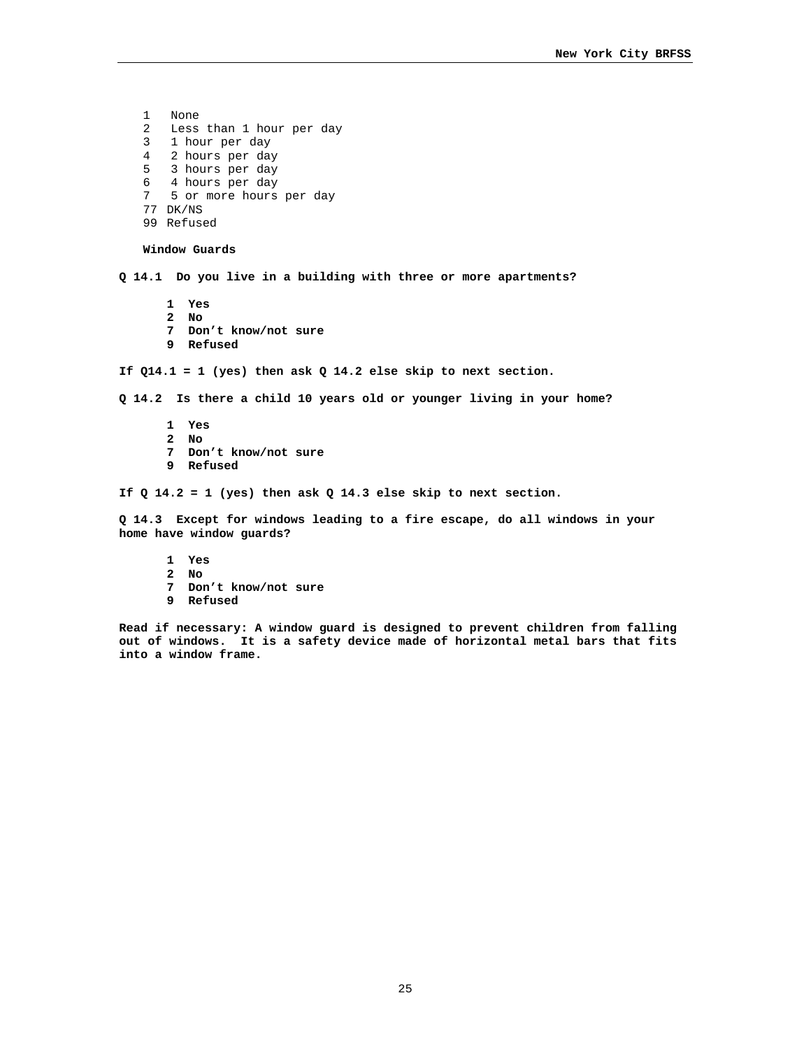1 None 2 Less than 1 hour per day 3 1 hour per day 4 2 hours per day 5 3 hours per day 6 4 hours per day 7 5 or more hours per day 77 DK/NS 99 Refused **Window Guards Q 14.1 Do you live in a building with three or more apartments? 1 Yes 2 No 7 Don't know/not sure 9 Refused If Q14.1 = 1 (yes) then ask Q 14.2 else skip to next section. Q 14.2 Is there a child 10 years old or younger living in your home? 1 Yes 2 No 7 Don't know/not sure 9 Refused If Q 14.2 = 1 (yes) then ask Q 14.3 else skip to next section. Q 14.3 Except for windows leading to a fire escape, do all windows in your home have window guards? 1 Yes** 

- 
- **2 No**
- **7 Don't know/not sure**
- **9 Refused**

**Read if necessary: A window guard is designed to prevent children from falling out of windows. It is a safety device made of horizontal metal bars that fits into a window frame.**

25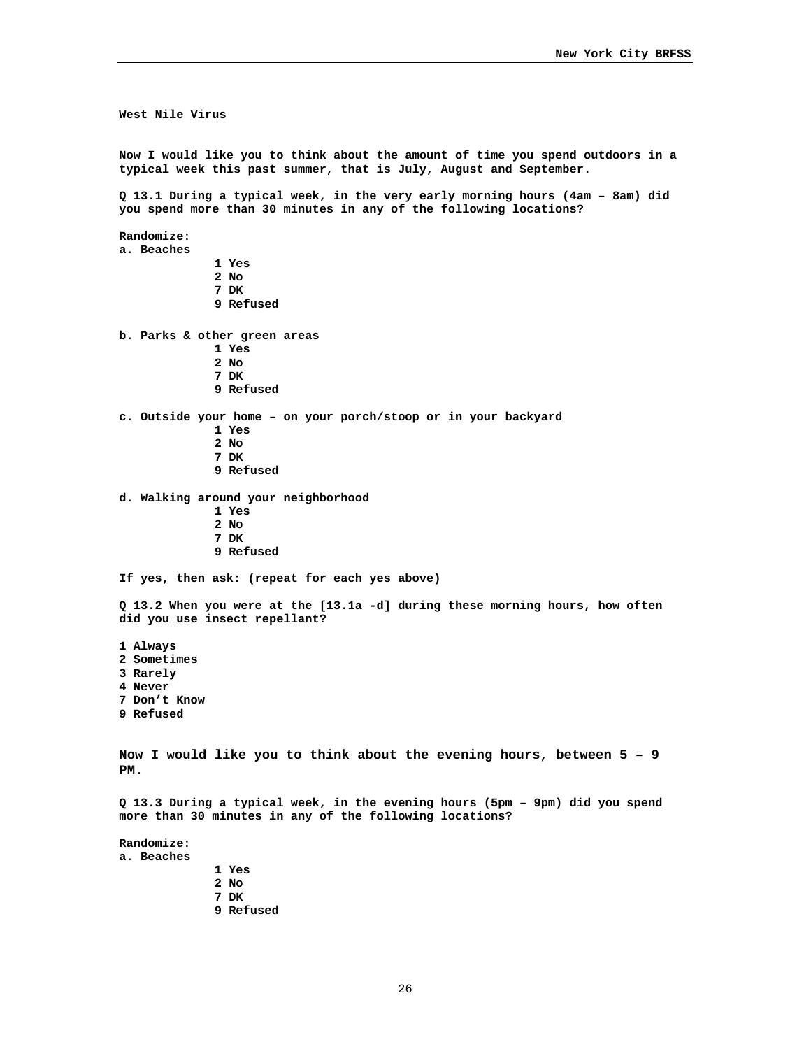**West Nile Virus Now I would like you to think about the amount of time you spend outdoors in a typical week this past summer, that is July, August and September. Q 13.1 During a typical week, in the very early morning hours (4am – 8am) did you spend more than 30 minutes in any of the following locations? Randomize: a. Beaches 1 Yes 2 No 7 DK 9 Refused b. Parks & other green areas 1 Yes 2 No 7 DK 9 Refused c. Outside your home – on your porch/stoop or in your backyard 1 Yes 2 No 7 DK 9 Refused d. Walking around your neighborhood 1 Yes 2 No 7 DK 9 Refused If yes, then ask: (repeat for each yes above) Q 13.2 When you were at the [13.1a -d] during these morning hours, how often did you use insect repellant? 1 Always 2 Sometimes 3 Rarely 4 Never 7 Don't Know 9 Refused Now I would like you to think about the evening hours, between 5 – 9 PM. Q 13.3 During a typical week, in the evening hours (5pm – 9pm) did you spend more than 30 minutes in any of the following locations? Randomize: a. Beaches** 

**1 Yes** 

- **2 No**
- **7 DK**
- **9 Refused**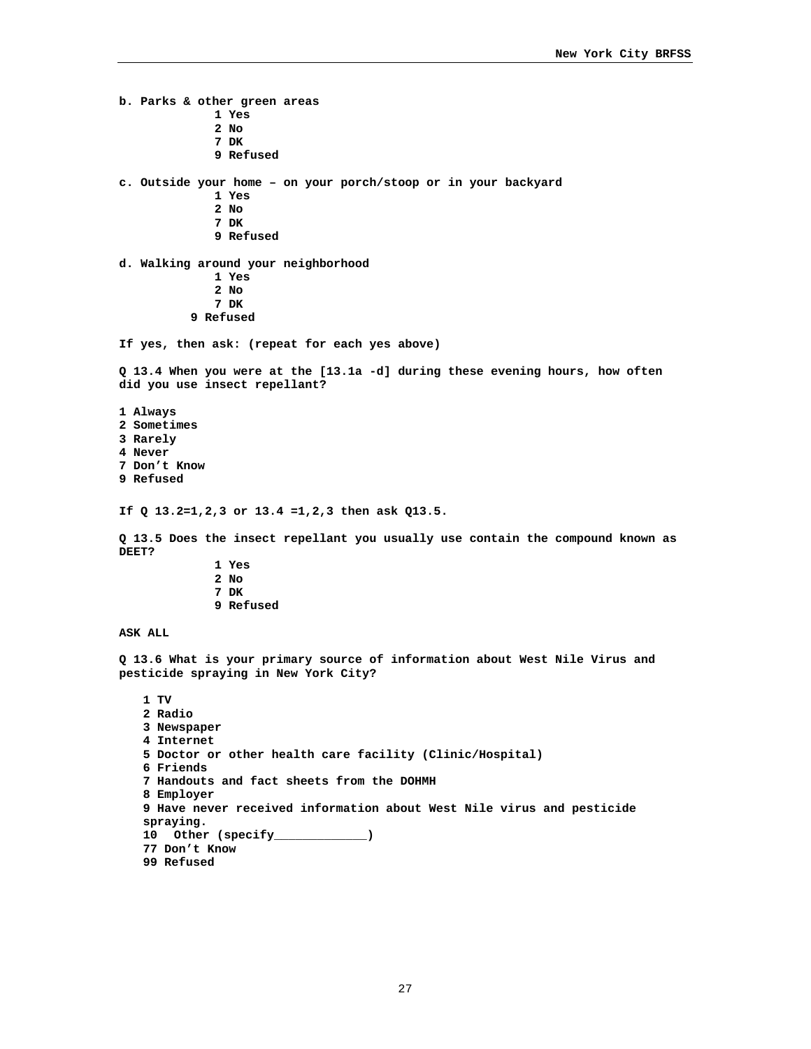**b. Parks & other green areas 1 Yes 2 No 7 DK 9 Refused c. Outside your home – on your porch/stoop or in your backyard 1 Yes 2 No 7 DK 9 Refused d. Walking around your neighborhood 1 Yes 2 No 7 DK 9 Refused If yes, then ask: (repeat for each yes above) Q 13.4 When you were at the [13.1a -d] during these evening hours, how often did you use insect repellant? 1 Always 2 Sometimes 3 Rarely 4 Never 7 Don't Know 9 Refused If Q 13.2=1,2,3 or 13.4 =1,2,3 then ask Q13.5. Q 13.5 Does the insect repellant you usually use contain the compound known as DEET? 1 Yes 2 No 7 DK 9 Refused ASK ALL Q 13.6 What is your primary source of information about West Nile Virus and pesticide spraying in New York City? 1 TV 2 Radio 3 Newspaper 4 Internet 5 Doctor or other health care facility (Clinic/Hospital) 6 Friends 7 Handouts and fact sheets from the DOHMH 8 Employer 9 Have never received information about West Nile virus and pesticide spraying. 10 Other (specify\_\_\_\_\_\_\_\_\_\_\_\_\_) 77 Don't Know** 

**99 Refused**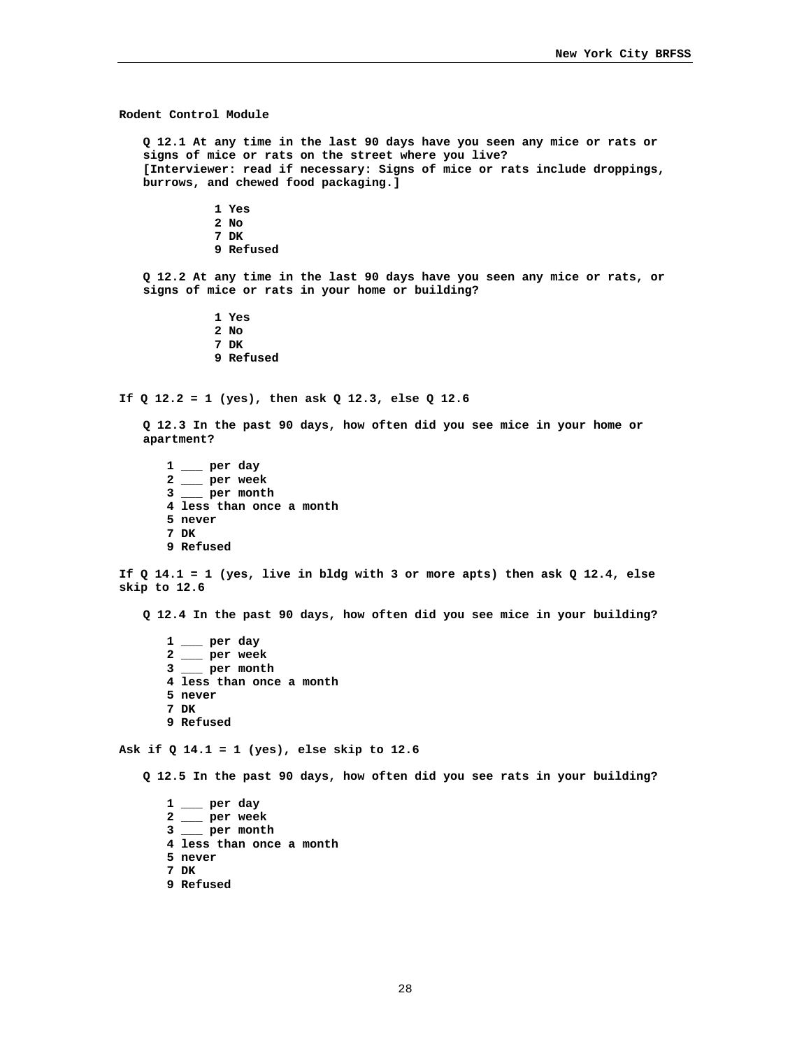**Rodent Control Module Q 12.1 At any time in the last 90 days have you seen any mice or rats or signs of mice or rats on the street where you live? [Interviewer: read if necessary: Signs of mice or rats include droppings, burrows, and chewed food packaging.] 1 Yes 2 No 7 DK 9 Refused Q 12.2 At any time in the last 90 days have you seen any mice or rats, or signs of mice or rats in your home or building? 1 Yes 2 No 7 DK 9 Refused If Q 12.2 = 1 (yes), then ask Q 12.3, else Q 12.6 Q 12.3 In the past 90 days, how often did you see mice in your home or apartment? 1 \_\_\_ per day 2 \_\_\_ per week 3 \_\_\_ per month 4 less than once a month 5 never 7 DK 9 Refused If Q 14.1 = 1 (yes, live in bldg with 3 or more apts) then ask Q 12.4, else skip to 12.6 Q 12.4 In the past 90 days, how often did you see mice in your building? 1 \_\_\_ per day 2 \_\_\_ per week 3 \_\_\_ per month 4 less than once a month 5 never 7 DK 9 Refused Ask if Q 14.1 = 1 (yes), else skip to 12.6 Q 12.5 In the past 90 days, how often did you see rats in your building? 1 \_\_\_ per day 2 \_\_\_ per week 3 \_\_\_ per month 4 less than once a month** 

- **5 never**
- **7 DK**
- **9 Refused**